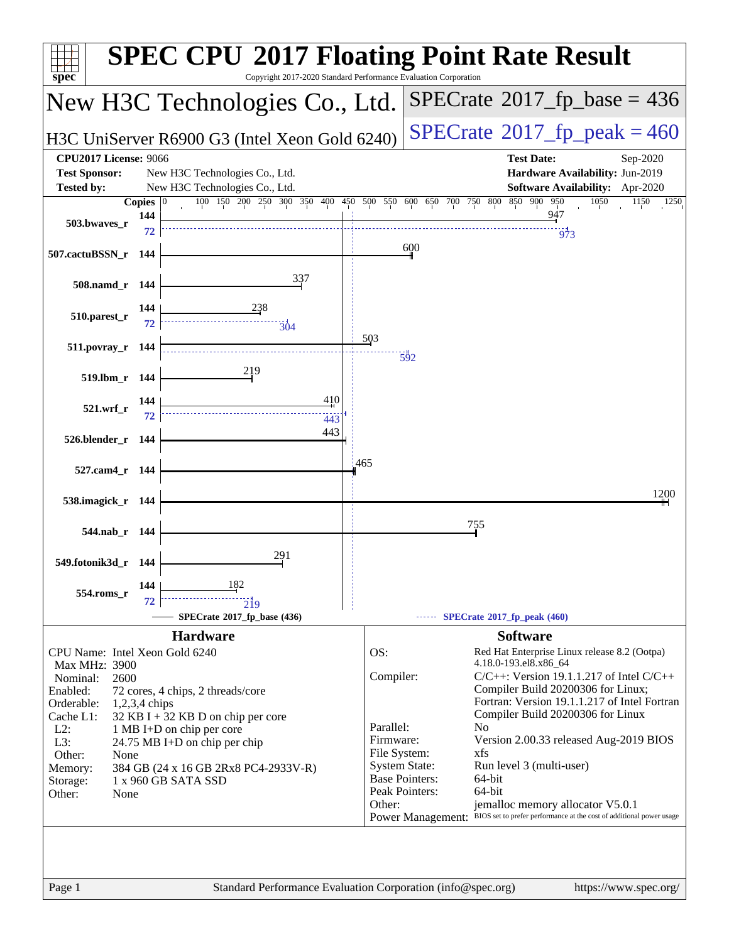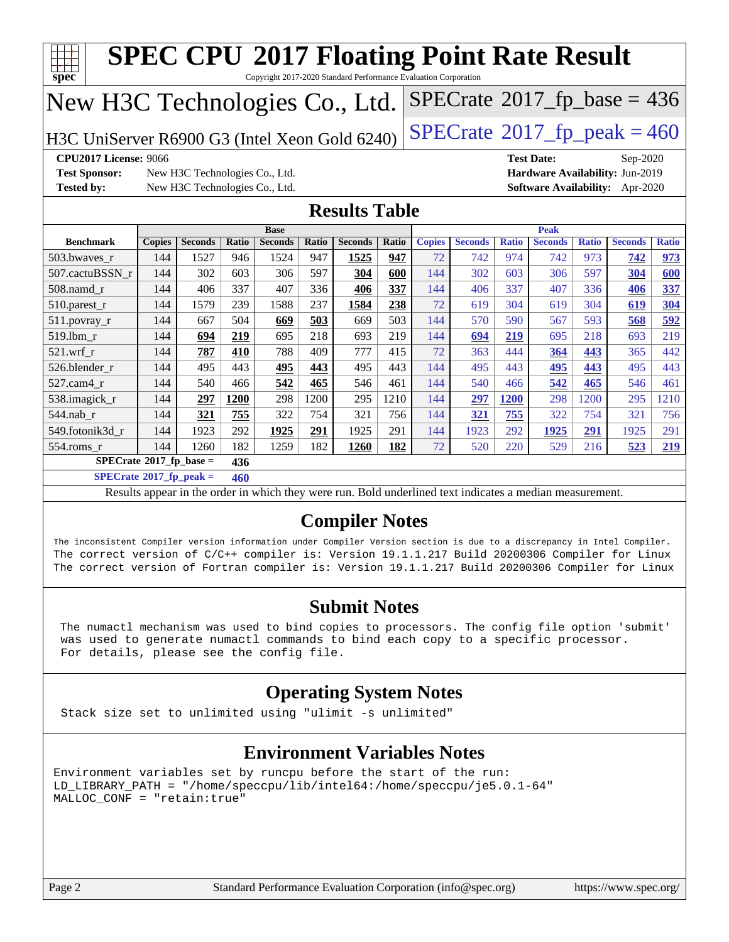| Copyright 2017-2020 Standard Performance Evaluation Corporation<br>spec <sup>®</sup><br>$SPECrate$ <sup>®</sup> 2017_fp_base = 436<br>New H3C Technologies Co., Ltd.                                                                                                                                                          |                                                                                                                                   |                                |       |                |       |                      |              |               |                |              |                |              |                                        |              |
|-------------------------------------------------------------------------------------------------------------------------------------------------------------------------------------------------------------------------------------------------------------------------------------------------------------------------------|-----------------------------------------------------------------------------------------------------------------------------------|--------------------------------|-------|----------------|-------|----------------------|--------------|---------------|----------------|--------------|----------------|--------------|----------------------------------------|--------------|
| $SPECrate$ <sup>®</sup> 2017_fp_peak = 460<br>H3C UniServer R6900 G3 (Intel Xeon Gold 6240)                                                                                                                                                                                                                                   |                                                                                                                                   |                                |       |                |       |                      |              |               |                |              |                |              |                                        |              |
| <b>CPU2017 License: 9066</b><br><b>Test Date:</b><br>Sep-2020                                                                                                                                                                                                                                                                 |                                                                                                                                   |                                |       |                |       |                      |              |               |                |              |                |              |                                        |              |
| <b>Test Sponsor:</b>                                                                                                                                                                                                                                                                                                          |                                                                                                                                   | New H3C Technologies Co., Ltd. |       |                |       |                      |              |               |                |              |                |              | Hardware Availability: Jun-2019        |              |
| <b>Tested by:</b>                                                                                                                                                                                                                                                                                                             |                                                                                                                                   | New H3C Technologies Co., Ltd. |       |                |       |                      |              |               |                |              |                |              | <b>Software Availability:</b> Apr-2020 |              |
|                                                                                                                                                                                                                                                                                                                               |                                                                                                                                   |                                |       |                |       | <b>Results Table</b> |              |               |                |              |                |              |                                        |              |
|                                                                                                                                                                                                                                                                                                                               |                                                                                                                                   |                                |       | <b>Base</b>    |       |                      |              |               |                |              | <b>Peak</b>    |              |                                        |              |
| <b>Benchmark</b>                                                                                                                                                                                                                                                                                                              | <b>Copies</b>                                                                                                                     | <b>Seconds</b>                 | Ratio | <b>Seconds</b> | Ratio | <b>Seconds</b>       | <b>Ratio</b> | <b>Copies</b> | <b>Seconds</b> | <b>Ratio</b> | <b>Seconds</b> | <b>Ratio</b> | <b>Seconds</b>                         | <b>Ratio</b> |
| 503.bwaves_r                                                                                                                                                                                                                                                                                                                  | 144                                                                                                                               | 1527                           | 946   | 1524           | 947   | 1525                 | 947          | 72            | 742            | 974          | 742            | 973          | 742                                    | 973          |
| 507.cactuBSSN r                                                                                                                                                                                                                                                                                                               | 144                                                                                                                               | 302                            | 603   | 306            | 597   | 304                  | 600          | 144           | 302            | 603          | 306            | 597          | 304                                    | 600          |
| 508.namd_r                                                                                                                                                                                                                                                                                                                    | 144                                                                                                                               | 406                            | 337   | 407            | 336   | 406                  | 337          | 144           | 406            | 337          | 407            | 336          | 406                                    | 337          |
| $510.parest_r$                                                                                                                                                                                                                                                                                                                | 144                                                                                                                               | 1579                           | 239   | 1588           | 237   | 1584                 | 238          | 72            | 619            | 304          | 619            | 304          | 619                                    | 304          |
| 511.povray_r                                                                                                                                                                                                                                                                                                                  | 144                                                                                                                               | 667                            | 504   | 669            | 503   | 669                  | 503          | 144           | 570            | 590          | 567            | 593          | 568                                    | 592          |
| 519.lbm r                                                                                                                                                                                                                                                                                                                     | 144                                                                                                                               | 694                            | 219   | 695            | 218   | 693                  | 219          | 144           | 694            | 219          | 695            | 218          | 693                                    | 219          |
| $521$ .wrf r                                                                                                                                                                                                                                                                                                                  | 144                                                                                                                               | 787                            | 410   | 788            | 409   | 777                  | 415          | 72            | 363            | 444          | 364            | 443          | 365                                    | 442          |
| 526.blender_r                                                                                                                                                                                                                                                                                                                 | 144                                                                                                                               | 495                            | 443   | 495            | 443   | 495                  | 443          | 144           | 495            | 443          | 495            | 443          | 495                                    | 443          |
| 527.cam4_r                                                                                                                                                                                                                                                                                                                    | 144                                                                                                                               | 540                            | 466   | 542            | 465   | 546                  | 461          | 144           | 540            | 466          | 542            | 465          | 546                                    | 461          |
| 538.imagick_r                                                                                                                                                                                                                                                                                                                 | 144                                                                                                                               | 297                            | 1200  | 298            | 1200  | 295                  | 1210         | 144           | 297            | 1200         | 298            | 1200         | 295                                    | 1210         |
| 544.nab r                                                                                                                                                                                                                                                                                                                     | 144                                                                                                                               | 321                            | 755   | 322            | 754   | 321                  | 756          | 144           | 321            | 755          | 322            | 754          | 321                                    | 756          |
| 549.fotonik3d_r                                                                                                                                                                                                                                                                                                               | 144                                                                                                                               | 1923                           | 292   | 1925           | 291   | 1925                 | 291          | 144           | 1923           | 292          | 1925           | 291          | 1925                                   | 291          |
| 554.roms_r                                                                                                                                                                                                                                                                                                                    | 144                                                                                                                               | 1260                           | 182   | 1259           | 182   | 1260                 | 182          | 72            | 520            | 220          | 529            | 216          | 523                                    | 219          |
| $SPECrate^{\circ}2017$ _fp_base =                                                                                                                                                                                                                                                                                             |                                                                                                                                   |                                | 436   |                |       |                      |              |               |                |              |                |              |                                        |              |
| $SPECrate^{\circ}2017$ _fp_peak =                                                                                                                                                                                                                                                                                             |                                                                                                                                   |                                | 460   |                |       |                      |              |               |                |              |                |              |                                        |              |
|                                                                                                                                                                                                                                                                                                                               |                                                                                                                                   |                                |       |                |       |                      |              |               |                |              |                |              |                                        |              |
|                                                                                                                                                                                                                                                                                                                               | Results appear in the order in which they were run. Bold underlined text indicates a median measurement.<br><b>Compiler Notes</b> |                                |       |                |       |                      |              |               |                |              |                |              |                                        |              |
| The inconsistent Compiler version information under Compiler Version section is due to a discrepancy in Intel Compiler.<br>The correct version of C/C++ compiler is: Version 19.1.1.217 Build 20200306 Compiler for Linux<br>The correct version of Fortran compiler is: Version 19.1.1.217 Build 20200306 Compiler for Linux |                                                                                                                                   |                                |       |                |       |                      |              |               |                |              |                |              |                                        |              |

#### **[Submit Notes](http://www.spec.org/auto/cpu2017/Docs/result-fields.html#SubmitNotes)**

 The numactl mechanism was used to bind copies to processors. The config file option 'submit' was used to generate numactl commands to bind each copy to a specific processor. For details, please see the config file.

#### **[Operating System Notes](http://www.spec.org/auto/cpu2017/Docs/result-fields.html#OperatingSystemNotes)**

Stack size set to unlimited using "ulimit -s unlimited"

#### **[Environment Variables Notes](http://www.spec.org/auto/cpu2017/Docs/result-fields.html#EnvironmentVariablesNotes)**

Environment variables set by runcpu before the start of the run: LD\_LIBRARY\_PATH = "/home/speccpu/lib/intel64:/home/speccpu/je5.0.1-64" MALLOC\_CONF = "retain:true"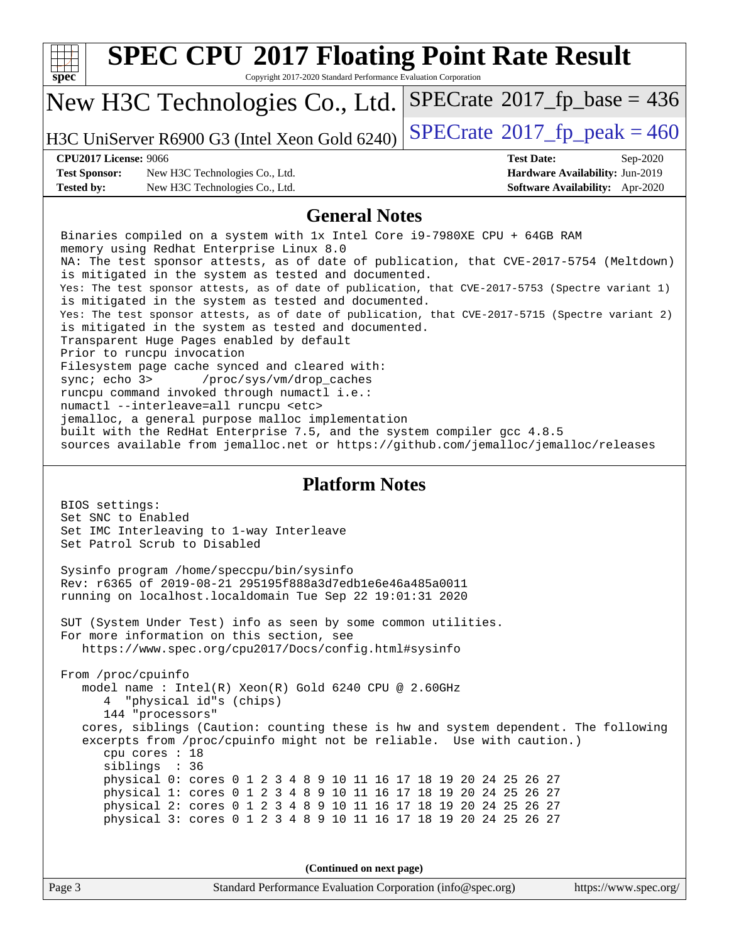| <b>SPEC CPU®2017 Floating Point Rate Result</b><br>$spec^*$<br>Copyright 2017-2020 Standard Performance Evaluation Corporation                                                                                                                                                                                                                                                                                                                                                                                                                                                                                                                                                                                                                                                                                                                                                                                                                                                                                                                                                                      |                                                                    |  |  |  |  |  |
|-----------------------------------------------------------------------------------------------------------------------------------------------------------------------------------------------------------------------------------------------------------------------------------------------------------------------------------------------------------------------------------------------------------------------------------------------------------------------------------------------------------------------------------------------------------------------------------------------------------------------------------------------------------------------------------------------------------------------------------------------------------------------------------------------------------------------------------------------------------------------------------------------------------------------------------------------------------------------------------------------------------------------------------------------------------------------------------------------------|--------------------------------------------------------------------|--|--|--|--|--|
| New H3C Technologies Co., Ltd.                                                                                                                                                                                                                                                                                                                                                                                                                                                                                                                                                                                                                                                                                                                                                                                                                                                                                                                                                                                                                                                                      | $SPECrate^{\circ}2017$ fp base = 436                               |  |  |  |  |  |
| H3C UniServer R6900 G3 (Intel Xeon Gold 6240)                                                                                                                                                                                                                                                                                                                                                                                                                                                                                                                                                                                                                                                                                                                                                                                                                                                                                                                                                                                                                                                       | $SPECrate$ <sup>®</sup> 2017_fp_peak = 460                         |  |  |  |  |  |
| <b>CPU2017 License: 9066</b>                                                                                                                                                                                                                                                                                                                                                                                                                                                                                                                                                                                                                                                                                                                                                                                                                                                                                                                                                                                                                                                                        | <b>Test Date:</b><br>Sep-2020                                      |  |  |  |  |  |
| <b>Test Sponsor:</b><br>New H3C Technologies Co., Ltd.<br><b>Tested by:</b><br>New H3C Technologies Co., Ltd.                                                                                                                                                                                                                                                                                                                                                                                                                                                                                                                                                                                                                                                                                                                                                                                                                                                                                                                                                                                       | Hardware Availability: Jun-2019<br>Software Availability: Apr-2020 |  |  |  |  |  |
| <b>General Notes</b>                                                                                                                                                                                                                                                                                                                                                                                                                                                                                                                                                                                                                                                                                                                                                                                                                                                                                                                                                                                                                                                                                |                                                                    |  |  |  |  |  |
| Binaries compiled on a system with 1x Intel Core i9-7980XE CPU + 64GB RAM<br>memory using Redhat Enterprise Linux 8.0<br>NA: The test sponsor attests, as of date of publication, that CVE-2017-5754 (Meltdown)<br>is mitigated in the system as tested and documented.<br>Yes: The test sponsor attests, as of date of publication, that CVE-2017-5753 (Spectre variant 1)<br>is mitigated in the system as tested and documented.<br>Yes: The test sponsor attests, as of date of publication, that CVE-2017-5715 (Spectre variant 2)<br>is mitigated in the system as tested and documented.<br>Transparent Huge Pages enabled by default<br>Prior to runcpu invocation<br>Filesystem page cache synced and cleared with:<br>sync; echo 3><br>/proc/sys/vm/drop_caches<br>runcpu command invoked through numactl i.e.:<br>numactl --interleave=all runcpu <etc><br/>jemalloc, a general purpose malloc implementation<br/>built with the RedHat Enterprise 7.5, and the system compiler gcc 4.8.5<br/>sources available from jemalloc.net or https://github.com/jemalloc/jemalloc/releases</etc> |                                                                    |  |  |  |  |  |
| <b>Platform Notes</b><br>BIOS settings:<br>Set SNC to Enabled<br>Set IMC Interleaving to 1-way Interleave<br>Set Patrol Scrub to Disabled                                                                                                                                                                                                                                                                                                                                                                                                                                                                                                                                                                                                                                                                                                                                                                                                                                                                                                                                                           |                                                                    |  |  |  |  |  |
| Sysinfo program /home/speccpu/bin/sysinfo<br>Rev: r6365 of 2019-08-21 295195f888a3d7edble6e46a485a0011<br>running on localhost.localdomain Tue Sep 22 19:01:31 2020                                                                                                                                                                                                                                                                                                                                                                                                                                                                                                                                                                                                                                                                                                                                                                                                                                                                                                                                 |                                                                    |  |  |  |  |  |
| SUT (System Under Test) info as seen by some common utilities.<br>For more information on this section, see<br>https://www.spec.org/cpu2017/Docs/config.html#sysinfo                                                                                                                                                                                                                                                                                                                                                                                                                                                                                                                                                                                                                                                                                                                                                                                                                                                                                                                                |                                                                    |  |  |  |  |  |
| From /proc/cpuinfo<br>model name : Intel(R) Xeon(R) Gold 6240 CPU @ 2.60GHz<br>"physical id"s (chips)<br>4<br>144 "processors"<br>cores, siblings (Caution: counting these is hw and system dependent. The following<br>excerpts from /proc/cpuinfo might not be reliable. Use with caution.)<br>cpu cores : 18<br>siblings : 36<br>physical 0: cores 0 1 2 3 4 8 9 10 11 16 17 18 19 20 24 25 26 27<br>physical 1: cores 0 1 2 3 4 8 9 10 11 16 17 18 19 20 24 25 26 27<br>physical 2: cores 0 1 2 3 4 8 9 10 11 16 17 18 19 20 24 25 26 27<br>physical 3: cores 0 1 2 3 4 8 9 10 11 16 17 18 19 20 24 25 26 27                                                                                                                                                                                                                                                                                                                                                                                                                                                                                    |                                                                    |  |  |  |  |  |
| (Continued on next page)                                                                                                                                                                                                                                                                                                                                                                                                                                                                                                                                                                                                                                                                                                                                                                                                                                                                                                                                                                                                                                                                            |                                                                    |  |  |  |  |  |
| Page 3<br>Standard Performance Evaluation Corporation (info@spec.org)                                                                                                                                                                                                                                                                                                                                                                                                                                                                                                                                                                                                                                                                                                                                                                                                                                                                                                                                                                                                                               | https://www.spec.org/                                              |  |  |  |  |  |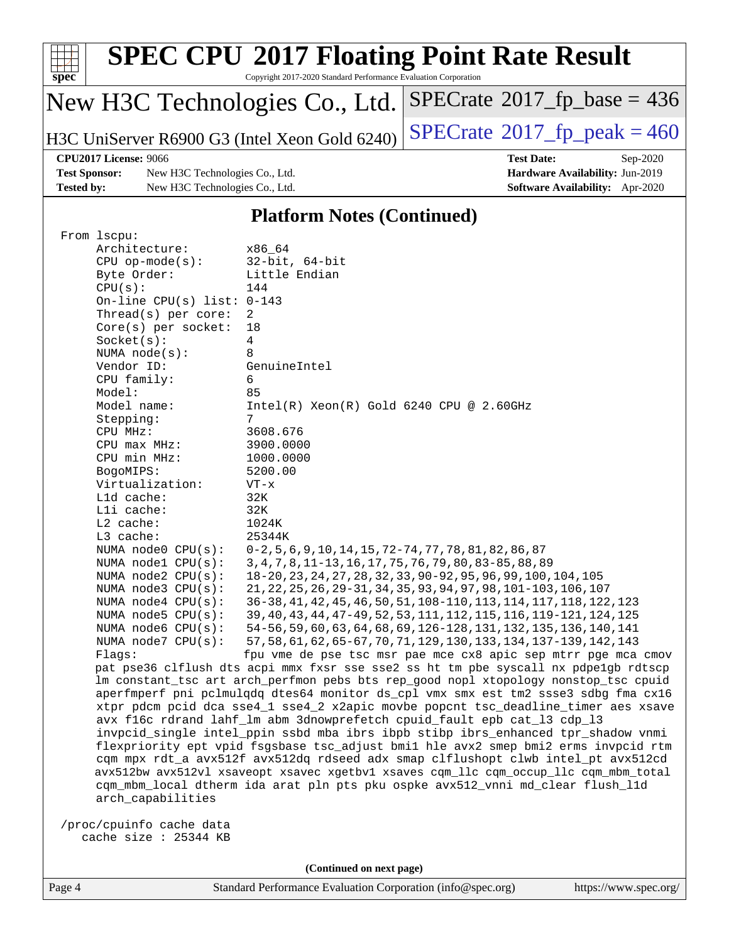| spec                              | <b>SPEC CPU®2017 Floating Point Rate Result</b><br>Copyright 2017-2020 Standard Performance Evaluation Corporation |                                            |  |  |  |  |  |  |
|-----------------------------------|--------------------------------------------------------------------------------------------------------------------|--------------------------------------------|--|--|--|--|--|--|
|                                   | New H3C Technologies Co., Ltd.                                                                                     | $SPECTate$ <sup>®</sup> 2017_fp_base = 436 |  |  |  |  |  |  |
|                                   | H3C UniServer R6900 G3 (Intel Xeon Gold 6240)                                                                      | $SPECTate@2017_fp\_peak = 460$             |  |  |  |  |  |  |
|                                   | <b>CPU2017 License: 9066</b>                                                                                       | <b>Test Date:</b><br>$Sep-2020$            |  |  |  |  |  |  |
| <b>Test Sponsor:</b>              | New H3C Technologies Co., Ltd.                                                                                     | Hardware Availability: Jun-2019            |  |  |  |  |  |  |
| <b>Tested by:</b>                 | New H3C Technologies Co., Ltd.                                                                                     | <b>Software Availability:</b> Apr-2020     |  |  |  |  |  |  |
| <b>Platform Notes (Continued)</b> |                                                                                                                    |                                            |  |  |  |  |  |  |

|             | From 1scpu:                  |                                                                                      |
|-------------|------------------------------|--------------------------------------------------------------------------------------|
|             | Architecture:                | x86 64                                                                               |
|             | $CPU$ op-mode(s):            | $32$ -bit, $64$ -bit                                                                 |
| Byte Order: |                              | Little Endian                                                                        |
|             | CPU(s):                      | 144                                                                                  |
|             | On-line CPU(s) list: $0-143$ |                                                                                      |
|             | Thread(s) per core:          | $\overline{a}$                                                                       |
|             | Core(s) per socket:          | 18                                                                                   |
|             | Socket(s):                   | $\overline{4}$                                                                       |
|             | NUMA node(s):                | 8                                                                                    |
|             | Vendor ID:                   | GenuineIntel                                                                         |
|             | CPU family:                  | 6                                                                                    |
|             | Model:                       | 85                                                                                   |
|             | Model name:                  | $Intel(R)$ Xeon $(R)$ Gold 6240 CPU @ 2.60GHz                                        |
|             | Stepping:                    | 7                                                                                    |
|             | CPU MHz:                     | 3608.676                                                                             |
|             | CPU max MHz:                 | 3900.0000                                                                            |
|             | CPU min MHz:                 | 1000.0000                                                                            |
|             | BogoMIPS:                    | 5200.00                                                                              |
|             | Virtualization:              | $VT - x$                                                                             |
|             | L1d cache:                   | 32K                                                                                  |
|             | Lli cache:                   | 32K                                                                                  |
|             | $L2$ cache:                  | 1024K                                                                                |
|             | L3 cache:                    | 25344K                                                                               |
|             | NUMA node0 CPU(s):           | $0-2, 5, 6, 9, 10, 14, 15, 72-74, 77, 78, 81, 82, 86, 87$                            |
|             | NUMA nodel CPU(s):           | 3, 4, 7, 8, 11-13, 16, 17, 75, 76, 79, 80, 83-85, 88, 89                             |
|             | NUMA $node2$ $CPU(s)$ :      | 18-20, 23, 24, 27, 28, 32, 33, 90-92, 95, 96, 99, 100, 104, 105                      |
|             |                              | 21, 22, 25, 26, 29-31, 34, 35, 93, 94, 97, 98, 101-103, 106, 107                     |
|             | NUMA node3 CPU(s):           |                                                                                      |
|             | NUMA node4 CPU(s):           | 36-38, 41, 42, 45, 46, 50, 51, 108-110, 113, 114, 117, 118, 122, 123                 |
|             | NUMA node5 CPU(s):           | 39, 40, 43, 44, 47-49, 52, 53, 111, 112, 115, 116, 119-121, 124, 125                 |
|             | NUMA node6 CPU(s):           | 54-56, 59, 60, 63, 64, 68, 69, 126-128, 131, 132, 135, 136, 140, 141                 |
|             | NUMA $node7$ CPU $(s)$ :     | 57, 58, 61, 62, 65-67, 70, 71, 129, 130, 133, 134, 137-139, 142, 143                 |
|             | Flaqs:                       | fpu vme de pse tsc msr pae mce cx8 apic sep mtrr pge mca cmov                        |
|             |                              | pat pse36 clflush dts acpi mmx fxsr sse sse2 ss ht tm pbe syscall nx pdpelgb rdtscp  |
|             |                              | lm constant_tsc art arch_perfmon pebs bts rep_good nopl xtopology nonstop_tsc cpuid  |
|             |                              | aperfmperf pni pclmulqdq dtes64 monitor ds_cpl vmx smx est tm2 ssse3 sdbg fma cx16   |
|             |                              | xtpr pdcm pcid dca sse4_1 sse4_2 x2apic movbe popcnt tsc_deadline_timer aes xsave    |
|             |                              | avx f16c rdrand lahf_lm abm 3dnowprefetch cpuid_fault epb cat_13 cdp_13              |
|             |                              | invpcid_single intel_ppin ssbd mba ibrs ibpb stibp ibrs_enhanced tpr_shadow vnmi     |
|             |                              | flexpriority ept vpid fsgsbase tsc_adjust bmil hle avx2 smep bmi2 erms invpcid rtm   |
|             |                              | cqm mpx rdt_a avx512f avx512dq rdseed adx smap clflushopt clwb intel_pt avx512cd     |
|             |                              | avx512bw avx512vl xsaveopt xsavec xgetbvl xsaves cqm_llc cqm_occup_llc cqm_mbm_total |
|             |                              | cqm_mbm_local dtherm ida arat pln pts pku ospke avx512_vnni md_clear flush_l1d       |
|             | arch_capabilities            |                                                                                      |
|             | /proc/cpuinfo cache data     |                                                                                      |
|             |                              |                                                                                      |

 /proc/cpuinfo cache data cache size : 25344 KB

**(Continued on next page)**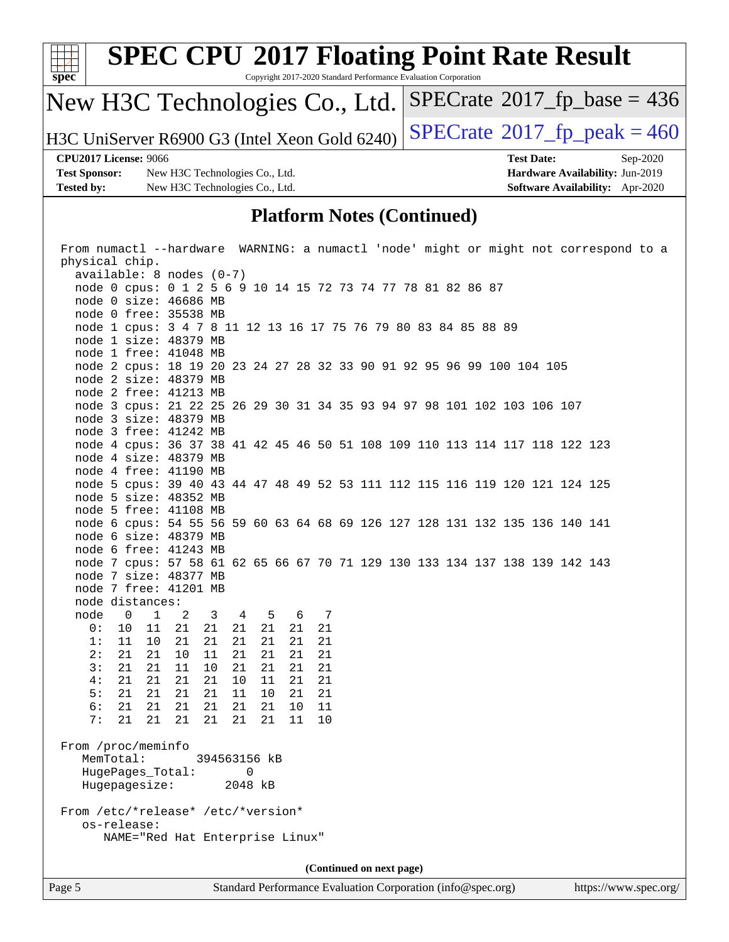

node 4 cpus: 36 37 38 41 42 45 46 50 51 108 109 110 113 114 117 118 122 123

node 5 cpus: 39 40 43 44 47 48 49 52 53 111 112 115 116 119 120 121 124 125

node 6 cpus: 54 55 56 59 60 63 64 68 69 126 127 128 131 132 135 136 140 141

node 7 cpus: 57 58 61 62 65 66 67 70 71 129 130 133 134 137 138 139 142 143

 node 4 size: 48379 MB node 4 free: 41190 MB

 node 5 size: 48352 MB node 5 free: 41108 MB

 node 6 size: 48379 MB node 6 free: 41243 MB

 node 7 size: 48377 MB node 7 free: 41201 MB

 node 0 1 2 3 4 5 6 7 0: 10 11 21 21 21 21 21 21 1: 11 10 21 21 21 21 21 21 2: 21 21 10 11 21 21 21 21 3: 21 21 11 10 21 21 21 21 4: 21 21 21 21 10 11 21 21 5: 21 21 21 21 11 10 21 21 6: 21 21 21 21 21 21 10 11 7: 21 21 21 21 21 21 11 10

 MemTotal: 394563156 kB HugePages\_Total: 0 Hugepagesize: 2048 kB

From /etc/\*release\* /etc/\*version\*

NAME="Red Hat Enterprise Linux"

node distances:

From /proc/meminfo

os-release:

Page 5 Standard Performance Evaluation Corporation [\(info@spec.org\)](mailto:info@spec.org) <https://www.spec.org/> **(Continued on next page)**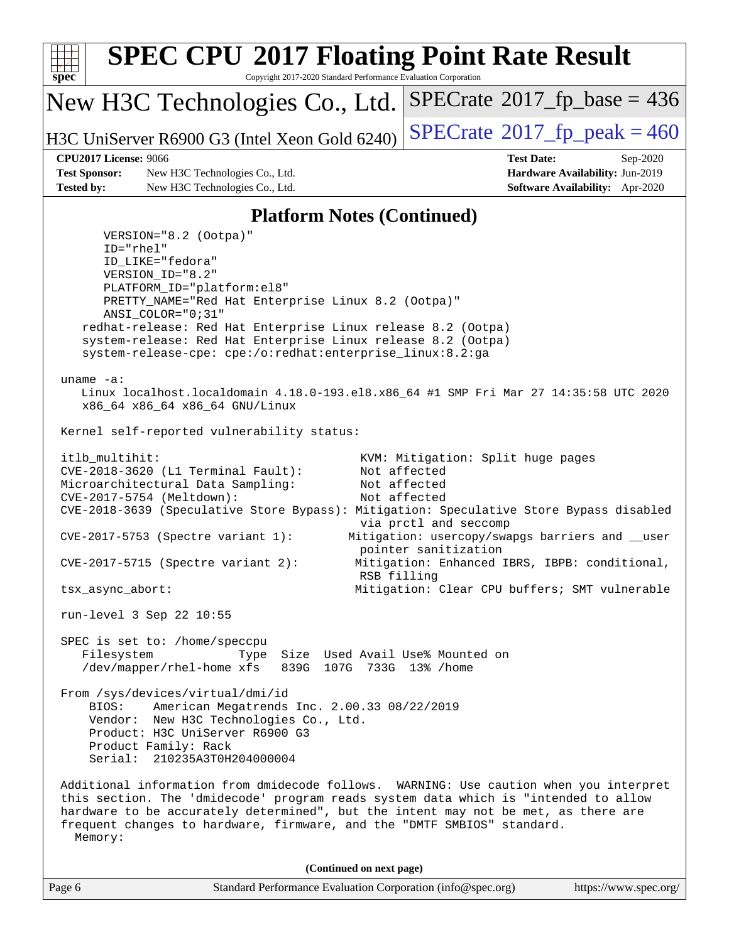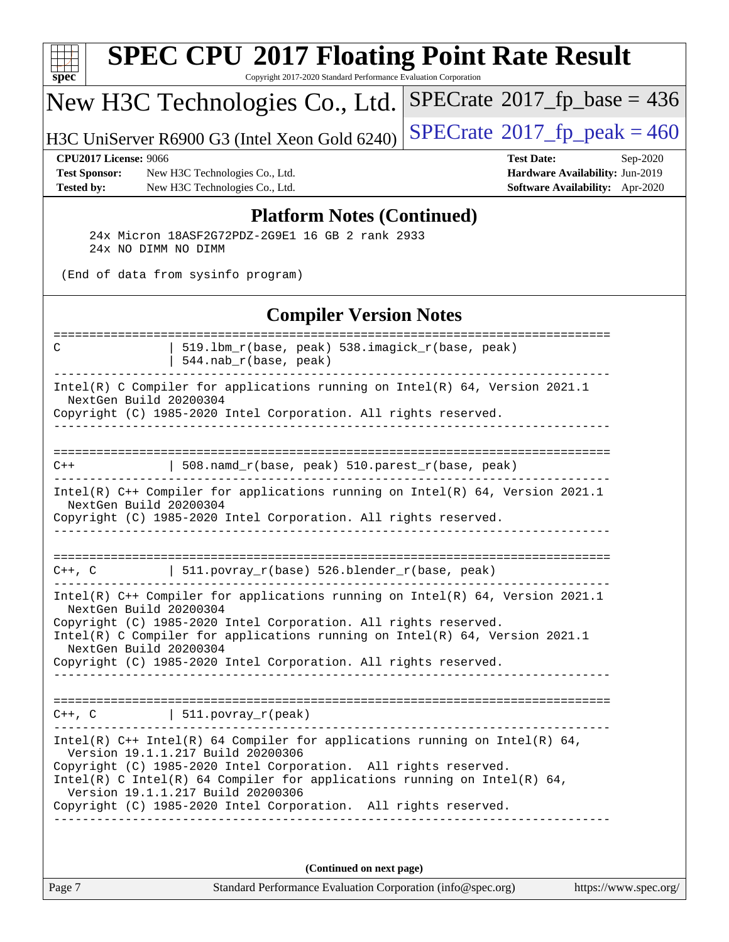| $spec^*$                                                                  | <b>SPEC CPU®2017 Floating Point Rate Result</b><br>Copyright 2017-2020 Standard Performance Evaluation Corporation                                                                                                                                                                                                                                                       |                                                                                                            |
|---------------------------------------------------------------------------|--------------------------------------------------------------------------------------------------------------------------------------------------------------------------------------------------------------------------------------------------------------------------------------------------------------------------------------------------------------------------|------------------------------------------------------------------------------------------------------------|
|                                                                           | New H3C Technologies Co., Ltd.                                                                                                                                                                                                                                                                                                                                           | $SPECrate^{\circ}2017$ [p_base = 436                                                                       |
|                                                                           | H3C UniServer R6900 G3 (Intel Xeon Gold 6240)                                                                                                                                                                                                                                                                                                                            | $SPECTate@2017_fp\_peak = 460$                                                                             |
| <b>CPU2017 License: 9066</b><br><b>Test Sponsor:</b><br><b>Tested by:</b> | New H3C Technologies Co., Ltd.<br>New H3C Technologies Co., Ltd.                                                                                                                                                                                                                                                                                                         | <b>Test Date:</b><br>Sep-2020<br>Hardware Availability: Jun-2019<br><b>Software Availability:</b> Apr-2020 |
|                                                                           | <b>Platform Notes (Continued)</b><br>24x Micron 18ASF2G72PDZ-2G9E1 16 GB 2 rank 2933<br>24x NO DIMM NO DIMM                                                                                                                                                                                                                                                              |                                                                                                            |
|                                                                           | (End of data from sysinfo program)                                                                                                                                                                                                                                                                                                                                       |                                                                                                            |
|                                                                           | <b>Compiler Version Notes</b>                                                                                                                                                                                                                                                                                                                                            |                                                                                                            |
| C                                                                         | 519.1bm_r(base, peak) 538.imagick_r(base, peak)<br>544.nab_r(base, peak)                                                                                                                                                                                                                                                                                                 |                                                                                                            |
| NextGen Build 20200304                                                    | Intel(R) C Compiler for applications running on Intel(R) 64, Version 2021.1<br>Copyright (C) 1985-2020 Intel Corporation. All rights reserved.                                                                                                                                                                                                                           |                                                                                                            |
| $C++$                                                                     | 508.namd_r(base, peak) 510.parest_r(base, peak)                                                                                                                                                                                                                                                                                                                          |                                                                                                            |
| NextGen Build 20200304                                                    | Intel(R) C++ Compiler for applications running on Intel(R) 64, Version 2021.1<br>Copyright (C) 1985-2020 Intel Corporation. All rights reserved.                                                                                                                                                                                                                         |                                                                                                            |
|                                                                           | $C++$ , C $\vert$ 511.povray_r(base) 526.blender_r(base, peak)                                                                                                                                                                                                                                                                                                           |                                                                                                            |
| NextGen Build 20200304<br>NextGen Build 20200304                          | Intel(R) $C++$ Compiler for applications running on Intel(R) 64, Version 2021.1<br>Copyright (C) 1985-2020 Intel Corporation. All rights reserved.<br>Intel(R) C Compiler for applications running on $Intel(R) 64$ , Version 2021.1<br>Copyright (C) 1985-2020 Intel Corporation. All rights reserved.                                                                  |                                                                                                            |
|                                                                           | $C++$ , C $\qquad \qquad \vert$ 511.povray_r(peak)                                                                                                                                                                                                                                                                                                                       |                                                                                                            |
|                                                                           | Intel(R) $C++$ Intel(R) 64 Compiler for applications running on Intel(R) 64,<br>Version 19.1.1.217 Build 20200306<br>Copyright (C) 1985-2020 Intel Corporation. All rights reserved.<br>Intel(R) C Intel(R) 64 Compiler for applications running on Intel(R) 64,<br>Version 19.1.1.217 Build 20200306<br>Copyright (C) 1985-2020 Intel Corporation. All rights reserved. |                                                                                                            |
|                                                                           | (Continued on next page)                                                                                                                                                                                                                                                                                                                                                 |                                                                                                            |

Page 7 Standard Performance Evaluation Corporation [\(info@spec.org\)](mailto:info@spec.org) <https://www.spec.org/>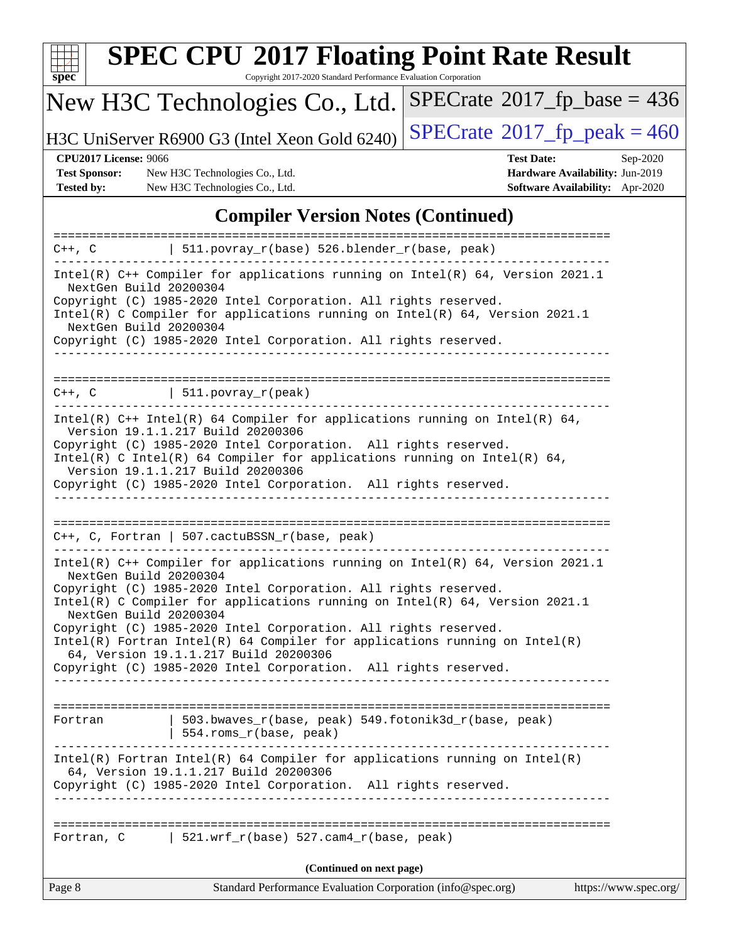

Copyright 2017-2020 Standard Performance Evaluation Corporation

## New H3C Technologies Co., Ltd.

H3C UniServer R6900 G3 (Intel Xeon Gold 6240) [SPECrate](http://www.spec.org/auto/cpu2017/Docs/result-fields.html#SPECrate2017fppeak)®  $2017$  fp\_peak = 460

 $SPECTate@2017_fp\_base = 436$ 

**[Test Sponsor:](http://www.spec.org/auto/cpu2017/Docs/result-fields.html#TestSponsor)** New H3C Technologies Co., Ltd. **[Hardware Availability:](http://www.spec.org/auto/cpu2017/Docs/result-fields.html#HardwareAvailability)** Jun-2019 **[Tested by:](http://www.spec.org/auto/cpu2017/Docs/result-fields.html#Testedby)** New H3C Technologies Co., Ltd. **[Software Availability:](http://www.spec.org/auto/cpu2017/Docs/result-fields.html#SoftwareAvailability)** Apr-2020

**[CPU2017 License:](http://www.spec.org/auto/cpu2017/Docs/result-fields.html#CPU2017License)** 9066 **[Test Date:](http://www.spec.org/auto/cpu2017/Docs/result-fields.html#TestDate)** Sep-2020

#### **[Compiler Version Notes \(Continued\)](http://www.spec.org/auto/cpu2017/Docs/result-fields.html#CompilerVersionNotes)**

| Page 8                                                                 | Standard Performance Evaluation Corporation (info@spec.org)                                                                                                                                                                                                                                                                                                                                                      | https://www.spec.org/ |
|------------------------------------------------------------------------|------------------------------------------------------------------------------------------------------------------------------------------------------------------------------------------------------------------------------------------------------------------------------------------------------------------------------------------------------------------------------------------------------------------|-----------------------|
|                                                                        | (Continued on next page)                                                                                                                                                                                                                                                                                                                                                                                         |                       |
|                                                                        | Fortran, C   $521.wrf_r(base)$ 527.cam4 $r(base, peak)$                                                                                                                                                                                                                                                                                                                                                          |                       |
|                                                                        | $Intel(R)$ Fortran Intel(R) 64 Compiler for applications running on Intel(R)<br>64, Version 19.1.1.217 Build 20200306<br>Copyright (C) 1985-2020 Intel Corporation. All rights reserved.<br>_____________________________________                                                                                                                                                                                |                       |
| Fortran                                                                | 503.bwaves_r(base, peak) 549.fotonik3d_r(base, peak)<br>  $554.rows_r(base, peak)$                                                                                                                                                                                                                                                                                                                               |                       |
| NextGen Build 20200304<br>NextGen Build 20200304                       | Copyright (C) 1985-2020 Intel Corporation. All rights reserved.<br>Intel(R) C Compiler for applications running on Intel(R) $64$ , Version 2021.1<br>Copyright (C) 1985-2020 Intel Corporation. All rights reserved.<br>$Intel(R)$ Fortran Intel(R) 64 Compiler for applications running on Intel(R)<br>64, Version 19.1.1.217 Build 20200306<br>Copyright (C) 1985-2020 Intel Corporation. All rights reserved. |                       |
|                                                                        | $C++$ , C, Fortran   507.cactuBSSN_r(base, peak)<br>Intel(R) $C++$ Compiler for applications running on Intel(R) 64, Version 2021.1                                                                                                                                                                                                                                                                              |                       |
| Version 19.1.1.217 Build 20200306<br>Version 19.1.1.217 Build 20200306 | Intel(R) $C++$ Intel(R) 64 Compiler for applications running on Intel(R) 64,<br>Copyright (C) 1985-2020 Intel Corporation. All rights reserved.<br>Intel(R) C Intel(R) 64 Compiler for applications running on Intel(R) 64,<br>Copyright (C) 1985-2020 Intel Corporation. All rights reserved.                                                                                                                   |                       |
| $C++$ , $C$   511.povray_r(peak)                                       |                                                                                                                                                                                                                                                                                                                                                                                                                  |                       |
| NextGen Build 20200304<br>NextGen Build 20200304                       | Intel(R) C++ Compiler for applications running on Intel(R) 64, Version 2021.1<br>Copyright (C) 1985-2020 Intel Corporation. All rights reserved.<br>Intel(R) C Compiler for applications running on Intel(R) $64$ , Version 2021.1<br>Copyright (C) 1985-2020 Intel Corporation. All rights reserved.                                                                                                            |                       |
|                                                                        | $C++$ , C $\qquad$   511.povray_r(base) 526.blender_r(base, peak)                                                                                                                                                                                                                                                                                                                                                |                       |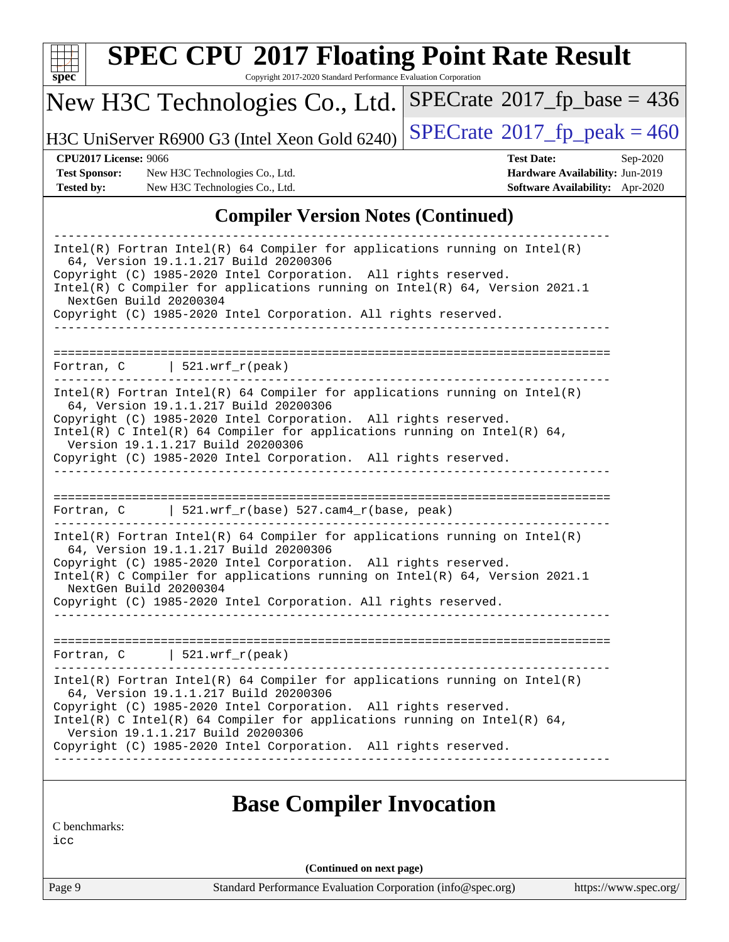| spe<br>U |  |  |  |  |  |  |
|----------|--|--|--|--|--|--|

Copyright 2017-2020 Standard Performance Evaluation Corporation

#### New H3C Technologies Co., Ltd.

H3C UniServer R6900 G3 (Intel Xeon Gold 6240)  $\left|$  [SPECrate](http://www.spec.org/auto/cpu2017/Docs/result-fields.html#SPECrate2017fppeak)®[2017\\_fp\\_peak = 4](http://www.spec.org/auto/cpu2017/Docs/result-fields.html#SPECrate2017fppeak)60

 $SPECTate$ <sup>®</sup>[2017\\_fp\\_base =](http://www.spec.org/auto/cpu2017/Docs/result-fields.html#SPECrate2017fpbase) 436

**[Test Sponsor:](http://www.spec.org/auto/cpu2017/Docs/result-fields.html#TestSponsor)** New H3C Technologies Co., Ltd. **[Hardware Availability:](http://www.spec.org/auto/cpu2017/Docs/result-fields.html#HardwareAvailability)** Jun-2019 **[Tested by:](http://www.spec.org/auto/cpu2017/Docs/result-fields.html#Testedby)** New H3C Technologies Co., Ltd. **[Software Availability:](http://www.spec.org/auto/cpu2017/Docs/result-fields.html#SoftwareAvailability)** Apr-2020

**[CPU2017 License:](http://www.spec.org/auto/cpu2017/Docs/result-fields.html#CPU2017License)** 9066 **[Test Date:](http://www.spec.org/auto/cpu2017/Docs/result-fields.html#TestDate)** Sep-2020

#### **[Compiler Version Notes \(Continued\)](http://www.spec.org/auto/cpu2017/Docs/result-fields.html#CompilerVersionNotes)**

| $Intel(R)$ Fortran Intel(R) 64 Compiler for applications running on Intel(R)<br>64, Version 19.1.1.217 Build 20200306<br>Copyright (C) 1985-2020 Intel Corporation. All rights reserved.<br>Intel(R) C Compiler for applications running on Intel(R) 64, Version 2021.1<br>NextGen Build 20200304<br>Copyright (C) 1985-2020 Intel Corporation. All rights reserved.                                           |
|----------------------------------------------------------------------------------------------------------------------------------------------------------------------------------------------------------------------------------------------------------------------------------------------------------------------------------------------------------------------------------------------------------------|
| ___________________________________                                                                                                                                                                                                                                                                                                                                                                            |
| Fortran, $C$   521.wrf_r(peak)                                                                                                                                                                                                                                                                                                                                                                                 |
| $Intel(R)$ Fortran Intel(R) 64 Compiler for applications running on Intel(R)<br>64, Version 19.1.1.217 Build 20200306<br>Copyright (C) 1985-2020 Intel Corporation. All rights reserved.<br>Intel(R) C Intel(R) 64 Compiler for applications running on Intel(R) 64,<br>Version 19.1.1.217 Build 20200306<br>Copyright (C) 1985-2020 Intel Corporation. All rights reserved.<br>------------------------------ |
|                                                                                                                                                                                                                                                                                                                                                                                                                |
| Fortran, C $\vert$ 521.wrf_r(base) 527.cam4_r(base, peak)                                                                                                                                                                                                                                                                                                                                                      |
| $Intel(R)$ Fortran Intel(R) 64 Compiler for applications running on Intel(R)<br>64, Version 19.1.1.217 Build 20200306<br>Copyright (C) 1985-2020 Intel Corporation. All rights reserved.<br>Intel(R) C Compiler for applications running on Intel(R) 64, Version 2021.1<br>NextGen Build 20200304<br>Copyright (C) 1985-2020 Intel Corporation. All rights reserved.                                           |
|                                                                                                                                                                                                                                                                                                                                                                                                                |
| Fortran, $C$   521.wrf_r(peak)                                                                                                                                                                                                                                                                                                                                                                                 |
| $Intel(R)$ Fortran Intel(R) 64 Compiler for applications running on Intel(R)<br>64, Version 19.1.1.217 Build 20200306<br>Copyright (C) 1985-2020 Intel Corporation. All rights reserved.<br>Intel(R) C Intel(R) 64 Compiler for applications running on Intel(R) 64,<br>Version 19.1.1.217 Build 20200306<br>Copyright (C) 1985-2020 Intel Corporation. All rights reserved.                                   |
|                                                                                                                                                                                                                                                                                                                                                                                                                |
|                                                                                                                                                                                                                                                                                                                                                                                                                |

#### **[Base Compiler Invocation](http://www.spec.org/auto/cpu2017/Docs/result-fields.html#BaseCompilerInvocation)**

[C benchmarks:](http://www.spec.org/auto/cpu2017/Docs/result-fields.html#Cbenchmarks)

[icc](http://www.spec.org/cpu2017/results/res2020q4/cpu2017-20200927-24041.flags.html#user_CCbase_intel_icc_66fc1ee009f7361af1fbd72ca7dcefbb700085f36577c54f309893dd4ec40d12360134090235512931783d35fd58c0460139e722d5067c5574d8eaf2b3e37e92)

**(Continued on next page)**

Page 9 Standard Performance Evaluation Corporation [\(info@spec.org\)](mailto:info@spec.org) <https://www.spec.org/>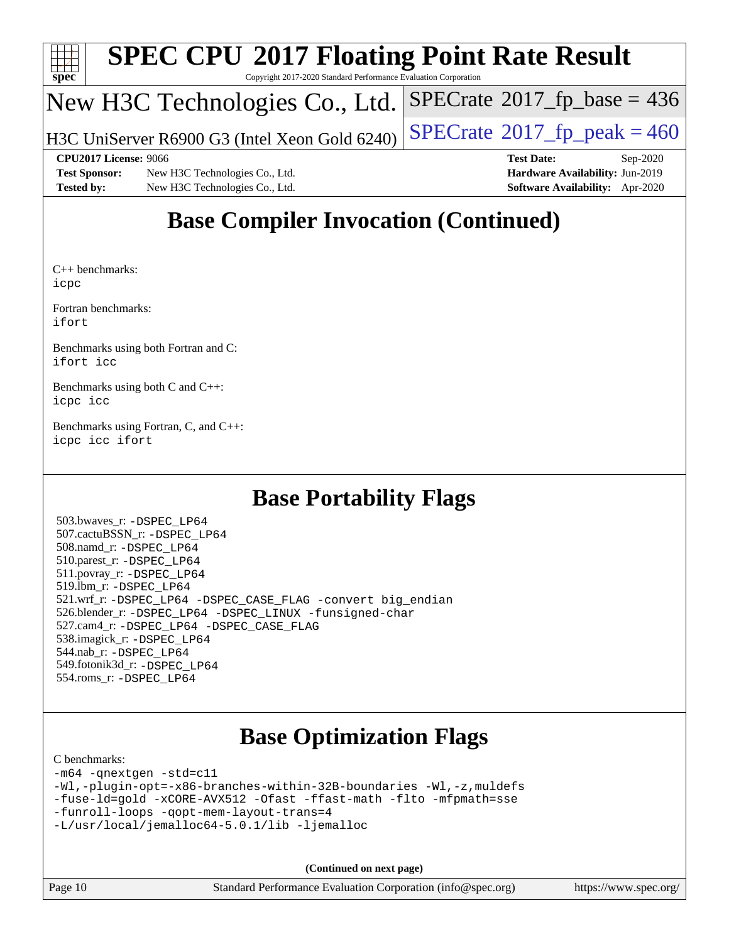

Copyright 2017-2020 Standard Performance Evaluation Corporation

#### New H3C Technologies Co., Ltd.

H3C UniServer R6900 G3 (Intel Xeon Gold 6240)  $\vert$  [SPECrate](http://www.spec.org/auto/cpu2017/Docs/result-fields.html#SPECrate2017fppeak)®[2017\\_fp\\_peak = 4](http://www.spec.org/auto/cpu2017/Docs/result-fields.html#SPECrate2017fppeak)60

**[Test Sponsor:](http://www.spec.org/auto/cpu2017/Docs/result-fields.html#TestSponsor)** New H3C Technologies Co., Ltd. **[Hardware Availability:](http://www.spec.org/auto/cpu2017/Docs/result-fields.html#HardwareAvailability)** Jun-2019 **[Tested by:](http://www.spec.org/auto/cpu2017/Docs/result-fields.html#Testedby)** New H3C Technologies Co., Ltd. **[Software Availability:](http://www.spec.org/auto/cpu2017/Docs/result-fields.html#SoftwareAvailability)** Apr-2020

**[CPU2017 License:](http://www.spec.org/auto/cpu2017/Docs/result-fields.html#CPU2017License)** 9066 **[Test Date:](http://www.spec.org/auto/cpu2017/Docs/result-fields.html#TestDate)** Sep-2020

 $SPECTate$ <sup>®</sup>[2017\\_fp\\_base =](http://www.spec.org/auto/cpu2017/Docs/result-fields.html#SPECrate2017fpbase) 436

## **[Base Compiler Invocation \(Continued\)](http://www.spec.org/auto/cpu2017/Docs/result-fields.html#BaseCompilerInvocation)**

[C++ benchmarks](http://www.spec.org/auto/cpu2017/Docs/result-fields.html#CXXbenchmarks): [icpc](http://www.spec.org/cpu2017/results/res2020q4/cpu2017-20200927-24041.flags.html#user_CXXbase_intel_icpc_c510b6838c7f56d33e37e94d029a35b4a7bccf4766a728ee175e80a419847e808290a9b78be685c44ab727ea267ec2f070ec5dc83b407c0218cded6866a35d07)

[Fortran benchmarks](http://www.spec.org/auto/cpu2017/Docs/result-fields.html#Fortranbenchmarks): [ifort](http://www.spec.org/cpu2017/results/res2020q4/cpu2017-20200927-24041.flags.html#user_FCbase_intel_ifort_8111460550e3ca792625aed983ce982f94888b8b503583aa7ba2b8303487b4d8a21a13e7191a45c5fd58ff318f48f9492884d4413fa793fd88dd292cad7027ca)

[Benchmarks using both Fortran and C:](http://www.spec.org/auto/cpu2017/Docs/result-fields.html#BenchmarksusingbothFortranandC) [ifort](http://www.spec.org/cpu2017/results/res2020q4/cpu2017-20200927-24041.flags.html#user_CC_FCbase_intel_ifort_8111460550e3ca792625aed983ce982f94888b8b503583aa7ba2b8303487b4d8a21a13e7191a45c5fd58ff318f48f9492884d4413fa793fd88dd292cad7027ca) [icc](http://www.spec.org/cpu2017/results/res2020q4/cpu2017-20200927-24041.flags.html#user_CC_FCbase_intel_icc_66fc1ee009f7361af1fbd72ca7dcefbb700085f36577c54f309893dd4ec40d12360134090235512931783d35fd58c0460139e722d5067c5574d8eaf2b3e37e92)

[Benchmarks using both C and C++](http://www.spec.org/auto/cpu2017/Docs/result-fields.html#BenchmarksusingbothCandCXX): [icpc](http://www.spec.org/cpu2017/results/res2020q4/cpu2017-20200927-24041.flags.html#user_CC_CXXbase_intel_icpc_c510b6838c7f56d33e37e94d029a35b4a7bccf4766a728ee175e80a419847e808290a9b78be685c44ab727ea267ec2f070ec5dc83b407c0218cded6866a35d07) [icc](http://www.spec.org/cpu2017/results/res2020q4/cpu2017-20200927-24041.flags.html#user_CC_CXXbase_intel_icc_66fc1ee009f7361af1fbd72ca7dcefbb700085f36577c54f309893dd4ec40d12360134090235512931783d35fd58c0460139e722d5067c5574d8eaf2b3e37e92)

[Benchmarks using Fortran, C, and C++:](http://www.spec.org/auto/cpu2017/Docs/result-fields.html#BenchmarksusingFortranCandCXX) [icpc](http://www.spec.org/cpu2017/results/res2020q4/cpu2017-20200927-24041.flags.html#user_CC_CXX_FCbase_intel_icpc_c510b6838c7f56d33e37e94d029a35b4a7bccf4766a728ee175e80a419847e808290a9b78be685c44ab727ea267ec2f070ec5dc83b407c0218cded6866a35d07) [icc](http://www.spec.org/cpu2017/results/res2020q4/cpu2017-20200927-24041.flags.html#user_CC_CXX_FCbase_intel_icc_66fc1ee009f7361af1fbd72ca7dcefbb700085f36577c54f309893dd4ec40d12360134090235512931783d35fd58c0460139e722d5067c5574d8eaf2b3e37e92) [ifort](http://www.spec.org/cpu2017/results/res2020q4/cpu2017-20200927-24041.flags.html#user_CC_CXX_FCbase_intel_ifort_8111460550e3ca792625aed983ce982f94888b8b503583aa7ba2b8303487b4d8a21a13e7191a45c5fd58ff318f48f9492884d4413fa793fd88dd292cad7027ca)

### **[Base Portability Flags](http://www.spec.org/auto/cpu2017/Docs/result-fields.html#BasePortabilityFlags)**

 503.bwaves\_r: [-DSPEC\\_LP64](http://www.spec.org/cpu2017/results/res2020q4/cpu2017-20200927-24041.flags.html#suite_basePORTABILITY503_bwaves_r_DSPEC_LP64) 507.cactuBSSN\_r: [-DSPEC\\_LP64](http://www.spec.org/cpu2017/results/res2020q4/cpu2017-20200927-24041.flags.html#suite_basePORTABILITY507_cactuBSSN_r_DSPEC_LP64) 508.namd\_r: [-DSPEC\\_LP64](http://www.spec.org/cpu2017/results/res2020q4/cpu2017-20200927-24041.flags.html#suite_basePORTABILITY508_namd_r_DSPEC_LP64) 510.parest\_r: [-DSPEC\\_LP64](http://www.spec.org/cpu2017/results/res2020q4/cpu2017-20200927-24041.flags.html#suite_basePORTABILITY510_parest_r_DSPEC_LP64) 511.povray\_r: [-DSPEC\\_LP64](http://www.spec.org/cpu2017/results/res2020q4/cpu2017-20200927-24041.flags.html#suite_basePORTABILITY511_povray_r_DSPEC_LP64) 519.lbm\_r: [-DSPEC\\_LP64](http://www.spec.org/cpu2017/results/res2020q4/cpu2017-20200927-24041.flags.html#suite_basePORTABILITY519_lbm_r_DSPEC_LP64) 521.wrf\_r: [-DSPEC\\_LP64](http://www.spec.org/cpu2017/results/res2020q4/cpu2017-20200927-24041.flags.html#suite_basePORTABILITY521_wrf_r_DSPEC_LP64) [-DSPEC\\_CASE\\_FLAG](http://www.spec.org/cpu2017/results/res2020q4/cpu2017-20200927-24041.flags.html#b521.wrf_r_baseCPORTABILITY_DSPEC_CASE_FLAG) [-convert big\\_endian](http://www.spec.org/cpu2017/results/res2020q4/cpu2017-20200927-24041.flags.html#user_baseFPORTABILITY521_wrf_r_convert_big_endian_c3194028bc08c63ac5d04de18c48ce6d347e4e562e8892b8bdbdc0214820426deb8554edfa529a3fb25a586e65a3d812c835984020483e7e73212c4d31a38223) 526.blender\_r: [-DSPEC\\_LP64](http://www.spec.org/cpu2017/results/res2020q4/cpu2017-20200927-24041.flags.html#suite_basePORTABILITY526_blender_r_DSPEC_LP64) [-DSPEC\\_LINUX](http://www.spec.org/cpu2017/results/res2020q4/cpu2017-20200927-24041.flags.html#b526.blender_r_baseCPORTABILITY_DSPEC_LINUX) [-funsigned-char](http://www.spec.org/cpu2017/results/res2020q4/cpu2017-20200927-24041.flags.html#user_baseCPORTABILITY526_blender_r_force_uchar_40c60f00ab013830e2dd6774aeded3ff59883ba5a1fc5fc14077f794d777847726e2a5858cbc7672e36e1b067e7e5c1d9a74f7176df07886a243d7cc18edfe67) 527.cam4\_r: [-DSPEC\\_LP64](http://www.spec.org/cpu2017/results/res2020q4/cpu2017-20200927-24041.flags.html#suite_basePORTABILITY527_cam4_r_DSPEC_LP64) [-DSPEC\\_CASE\\_FLAG](http://www.spec.org/cpu2017/results/res2020q4/cpu2017-20200927-24041.flags.html#b527.cam4_r_baseCPORTABILITY_DSPEC_CASE_FLAG) 538.imagick\_r: [-DSPEC\\_LP64](http://www.spec.org/cpu2017/results/res2020q4/cpu2017-20200927-24041.flags.html#suite_basePORTABILITY538_imagick_r_DSPEC_LP64) 544.nab\_r: [-DSPEC\\_LP64](http://www.spec.org/cpu2017/results/res2020q4/cpu2017-20200927-24041.flags.html#suite_basePORTABILITY544_nab_r_DSPEC_LP64) 549.fotonik3d\_r: [-DSPEC\\_LP64](http://www.spec.org/cpu2017/results/res2020q4/cpu2017-20200927-24041.flags.html#suite_basePORTABILITY549_fotonik3d_r_DSPEC_LP64) 554.roms\_r: [-DSPEC\\_LP64](http://www.spec.org/cpu2017/results/res2020q4/cpu2017-20200927-24041.flags.html#suite_basePORTABILITY554_roms_r_DSPEC_LP64)

### **[Base Optimization Flags](http://www.spec.org/auto/cpu2017/Docs/result-fields.html#BaseOptimizationFlags)**

#### [C benchmarks](http://www.spec.org/auto/cpu2017/Docs/result-fields.html#Cbenchmarks):

```
-m64 -qnextgen -std=c11
-Wl,-plugin-opt=-x86-branches-within-32B-boundaries -Wl,-z,muldefs
-fuse-ld=gold -xCORE-AVX512 -Ofast -ffast-math -flto -mfpmath=sse
-funroll-loops -qopt-mem-layout-trans=4
-L/usr/local/jemalloc64-5.0.1/lib -ljemalloc
```
**(Continued on next page)**

| $\vert$ Page 10 | Standard Performance Evaluation Corporation (info@spec.org) |
|-----------------|-------------------------------------------------------------|
|                 |                                                             |

<https://www.spec.org/>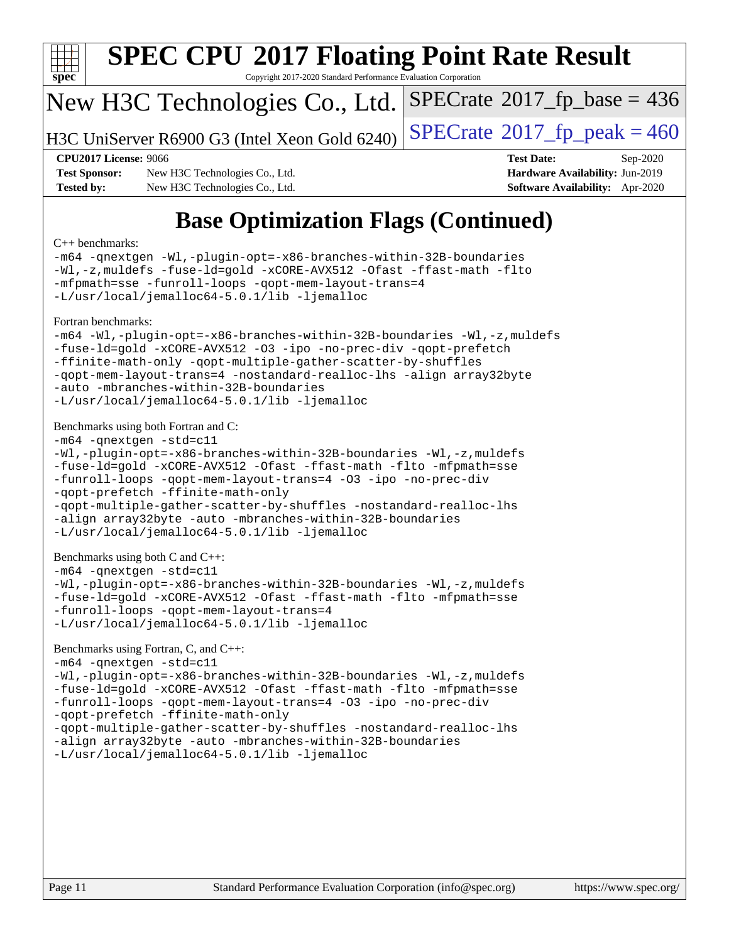

Copyright 2017-2020 Standard Performance Evaluation Corporation

#### New H3C Technologies Co., Ltd.

H3C UniServer R6900 G3 (Intel Xeon Gold 6240) [SPECrate](http://www.spec.org/auto/cpu2017/Docs/result-fields.html#SPECrate2017fppeak)®2017\_fp\_peak =  $460$ 

 $SPECTate$ <sup>®</sup>[2017\\_fp\\_base =](http://www.spec.org/auto/cpu2017/Docs/result-fields.html#SPECrate2017fpbase) 436

**[Test Sponsor:](http://www.spec.org/auto/cpu2017/Docs/result-fields.html#TestSponsor)** New H3C Technologies Co., Ltd. **[Hardware Availability:](http://www.spec.org/auto/cpu2017/Docs/result-fields.html#HardwareAvailability)** Jun-2019 **[Tested by:](http://www.spec.org/auto/cpu2017/Docs/result-fields.html#Testedby)** New H3C Technologies Co., Ltd. **[Software Availability:](http://www.spec.org/auto/cpu2017/Docs/result-fields.html#SoftwareAvailability)** Apr-2020

**[CPU2017 License:](http://www.spec.org/auto/cpu2017/Docs/result-fields.html#CPU2017License)** 9066 **[Test Date:](http://www.spec.org/auto/cpu2017/Docs/result-fields.html#TestDate)** Sep-2020

## **[Base Optimization Flags \(Continued\)](http://www.spec.org/auto/cpu2017/Docs/result-fields.html#BaseOptimizationFlags)**

#### [C++ benchmarks:](http://www.spec.org/auto/cpu2017/Docs/result-fields.html#CXXbenchmarks)

[-m64](http://www.spec.org/cpu2017/results/res2020q4/cpu2017-20200927-24041.flags.html#user_CXXbase_m64-icc) [-qnextgen](http://www.spec.org/cpu2017/results/res2020q4/cpu2017-20200927-24041.flags.html#user_CXXbase_f-qnextgen) [-Wl,-plugin-opt=-x86-branches-within-32B-boundaries](http://www.spec.org/cpu2017/results/res2020q4/cpu2017-20200927-24041.flags.html#user_CXXbase_f-x86-branches-within-32B-boundaries_0098b4e4317ae60947b7b728078a624952a08ac37a3c797dfb4ffeb399e0c61a9dd0f2f44ce917e9361fb9076ccb15e7824594512dd315205382d84209e912f3) [-Wl,-z,muldefs](http://www.spec.org/cpu2017/results/res2020q4/cpu2017-20200927-24041.flags.html#user_CXXbase_link_force_multiple1_b4cbdb97b34bdee9ceefcfe54f4c8ea74255f0b02a4b23e853cdb0e18eb4525ac79b5a88067c842dd0ee6996c24547a27a4b99331201badda8798ef8a743f577) [-fuse-ld=gold](http://www.spec.org/cpu2017/results/res2020q4/cpu2017-20200927-24041.flags.html#user_CXXbase_f-fuse-ld_920b3586e2b8c6e0748b9c84fa9b744736ba725a32cab14ad8f3d4ad28eecb2f59d1144823d2e17006539a88734fe1fc08fc3035f7676166309105a78aaabc32) [-xCORE-AVX512](http://www.spec.org/cpu2017/results/res2020q4/cpu2017-20200927-24041.flags.html#user_CXXbase_f-xCORE-AVX512) [-Ofast](http://www.spec.org/cpu2017/results/res2020q4/cpu2017-20200927-24041.flags.html#user_CXXbase_f-Ofast) [-ffast-math](http://www.spec.org/cpu2017/results/res2020q4/cpu2017-20200927-24041.flags.html#user_CXXbase_f-ffast-math) [-flto](http://www.spec.org/cpu2017/results/res2020q4/cpu2017-20200927-24041.flags.html#user_CXXbase_f-flto) [-mfpmath=sse](http://www.spec.org/cpu2017/results/res2020q4/cpu2017-20200927-24041.flags.html#user_CXXbase_f-mfpmath_70eb8fac26bde974f8ab713bc9086c5621c0b8d2f6c86f38af0bd7062540daf19db5f3a066d8c6684be05d84c9b6322eb3b5be6619d967835195b93d6c02afa1) [-funroll-loops](http://www.spec.org/cpu2017/results/res2020q4/cpu2017-20200927-24041.flags.html#user_CXXbase_f-funroll-loops) [-qopt-mem-layout-trans=4](http://www.spec.org/cpu2017/results/res2020q4/cpu2017-20200927-24041.flags.html#user_CXXbase_f-qopt-mem-layout-trans_fa39e755916c150a61361b7846f310bcdf6f04e385ef281cadf3647acec3f0ae266d1a1d22d972a7087a248fd4e6ca390a3634700869573d231a252c784941a8) [-L/usr/local/jemalloc64-5.0.1/lib](http://www.spec.org/cpu2017/results/res2020q4/cpu2017-20200927-24041.flags.html#user_CXXbase_jemalloc_link_path64_1_cc289568b1a6c0fd3b62c91b824c27fcb5af5e8098e6ad028160d21144ef1b8aef3170d2acf0bee98a8da324cfe4f67d0a3d0c4cc4673d993d694dc2a0df248b) [-ljemalloc](http://www.spec.org/cpu2017/results/res2020q4/cpu2017-20200927-24041.flags.html#user_CXXbase_jemalloc_link_lib_d1249b907c500fa1c0672f44f562e3d0f79738ae9e3c4a9c376d49f265a04b9c99b167ecedbf6711b3085be911c67ff61f150a17b3472be731631ba4d0471706) [Fortran benchmarks](http://www.spec.org/auto/cpu2017/Docs/result-fields.html#Fortranbenchmarks): [-m64](http://www.spec.org/cpu2017/results/res2020q4/cpu2017-20200927-24041.flags.html#user_FCbase_m64-icc) [-Wl,-plugin-opt=-x86-branches-within-32B-boundaries](http://www.spec.org/cpu2017/results/res2020q4/cpu2017-20200927-24041.flags.html#user_FCbase_f-x86-branches-within-32B-boundaries_0098b4e4317ae60947b7b728078a624952a08ac37a3c797dfb4ffeb399e0c61a9dd0f2f44ce917e9361fb9076ccb15e7824594512dd315205382d84209e912f3) [-Wl,-z,muldefs](http://www.spec.org/cpu2017/results/res2020q4/cpu2017-20200927-24041.flags.html#user_FCbase_link_force_multiple1_b4cbdb97b34bdee9ceefcfe54f4c8ea74255f0b02a4b23e853cdb0e18eb4525ac79b5a88067c842dd0ee6996c24547a27a4b99331201badda8798ef8a743f577) [-fuse-ld=gold](http://www.spec.org/cpu2017/results/res2020q4/cpu2017-20200927-24041.flags.html#user_FCbase_f-fuse-ld_920b3586e2b8c6e0748b9c84fa9b744736ba725a32cab14ad8f3d4ad28eecb2f59d1144823d2e17006539a88734fe1fc08fc3035f7676166309105a78aaabc32) [-xCORE-AVX512](http://www.spec.org/cpu2017/results/res2020q4/cpu2017-20200927-24041.flags.html#user_FCbase_f-xCORE-AVX512) [-O3](http://www.spec.org/cpu2017/results/res2020q4/cpu2017-20200927-24041.flags.html#user_FCbase_f-O3) [-ipo](http://www.spec.org/cpu2017/results/res2020q4/cpu2017-20200927-24041.flags.html#user_FCbase_f-ipo) [-no-prec-div](http://www.spec.org/cpu2017/results/res2020q4/cpu2017-20200927-24041.flags.html#user_FCbase_f-no-prec-div) [-qopt-prefetch](http://www.spec.org/cpu2017/results/res2020q4/cpu2017-20200927-24041.flags.html#user_FCbase_f-qopt-prefetch) [-ffinite-math-only](http://www.spec.org/cpu2017/results/res2020q4/cpu2017-20200927-24041.flags.html#user_FCbase_f_finite_math_only_cb91587bd2077682c4b38af759c288ed7c732db004271a9512da14a4f8007909a5f1427ecbf1a0fb78ff2a814402c6114ac565ca162485bbcae155b5e4258871) [-qopt-multiple-gather-scatter-by-shuffles](http://www.spec.org/cpu2017/results/res2020q4/cpu2017-20200927-24041.flags.html#user_FCbase_f-qopt-multiple-gather-scatter-by-shuffles) [-qopt-mem-layout-trans=4](http://www.spec.org/cpu2017/results/res2020q4/cpu2017-20200927-24041.flags.html#user_FCbase_f-qopt-mem-layout-trans_fa39e755916c150a61361b7846f310bcdf6f04e385ef281cadf3647acec3f0ae266d1a1d22d972a7087a248fd4e6ca390a3634700869573d231a252c784941a8) [-nostandard-realloc-lhs](http://www.spec.org/cpu2017/results/res2020q4/cpu2017-20200927-24041.flags.html#user_FCbase_f_2003_std_realloc_82b4557e90729c0f113870c07e44d33d6f5a304b4f63d4c15d2d0f1fab99f5daaed73bdb9275d9ae411527f28b936061aa8b9c8f2d63842963b95c9dd6426b8a) [-align array32byte](http://www.spec.org/cpu2017/results/res2020q4/cpu2017-20200927-24041.flags.html#user_FCbase_align_array32byte_b982fe038af199962ba9a80c053b8342c548c85b40b8e86eb3cc33dee0d7986a4af373ac2d51c3f7cf710a18d62fdce2948f201cd044323541f22fc0fffc51b6) [-auto](http://www.spec.org/cpu2017/results/res2020q4/cpu2017-20200927-24041.flags.html#user_FCbase_f-auto) [-mbranches-within-32B-boundaries](http://www.spec.org/cpu2017/results/res2020q4/cpu2017-20200927-24041.flags.html#user_FCbase_f-mbranches-within-32B-boundaries) [-L/usr/local/jemalloc64-5.0.1/lib](http://www.spec.org/cpu2017/results/res2020q4/cpu2017-20200927-24041.flags.html#user_FCbase_jemalloc_link_path64_1_cc289568b1a6c0fd3b62c91b824c27fcb5af5e8098e6ad028160d21144ef1b8aef3170d2acf0bee98a8da324cfe4f67d0a3d0c4cc4673d993d694dc2a0df248b) [-ljemalloc](http://www.spec.org/cpu2017/results/res2020q4/cpu2017-20200927-24041.flags.html#user_FCbase_jemalloc_link_lib_d1249b907c500fa1c0672f44f562e3d0f79738ae9e3c4a9c376d49f265a04b9c99b167ecedbf6711b3085be911c67ff61f150a17b3472be731631ba4d0471706) [Benchmarks using both Fortran and C](http://www.spec.org/auto/cpu2017/Docs/result-fields.html#BenchmarksusingbothFortranandC): [-m64](http://www.spec.org/cpu2017/results/res2020q4/cpu2017-20200927-24041.flags.html#user_CC_FCbase_m64-icc) [-qnextgen](http://www.spec.org/cpu2017/results/res2020q4/cpu2017-20200927-24041.flags.html#user_CC_FCbase_f-qnextgen) [-std=c11](http://www.spec.org/cpu2017/results/res2020q4/cpu2017-20200927-24041.flags.html#user_CC_FCbase_std-icc-std_0e1c27790398a4642dfca32ffe6c27b5796f9c2d2676156f2e42c9c44eaad0c049b1cdb667a270c34d979996257aeb8fc440bfb01818dbc9357bd9d174cb8524) [-Wl,-plugin-opt=-x86-branches-within-32B-boundaries](http://www.spec.org/cpu2017/results/res2020q4/cpu2017-20200927-24041.flags.html#user_CC_FCbase_f-x86-branches-within-32B-boundaries_0098b4e4317ae60947b7b728078a624952a08ac37a3c797dfb4ffeb399e0c61a9dd0f2f44ce917e9361fb9076ccb15e7824594512dd315205382d84209e912f3) [-Wl,-z,muldefs](http://www.spec.org/cpu2017/results/res2020q4/cpu2017-20200927-24041.flags.html#user_CC_FCbase_link_force_multiple1_b4cbdb97b34bdee9ceefcfe54f4c8ea74255f0b02a4b23e853cdb0e18eb4525ac79b5a88067c842dd0ee6996c24547a27a4b99331201badda8798ef8a743f577) [-fuse-ld=gold](http://www.spec.org/cpu2017/results/res2020q4/cpu2017-20200927-24041.flags.html#user_CC_FCbase_f-fuse-ld_920b3586e2b8c6e0748b9c84fa9b744736ba725a32cab14ad8f3d4ad28eecb2f59d1144823d2e17006539a88734fe1fc08fc3035f7676166309105a78aaabc32) [-xCORE-AVX512](http://www.spec.org/cpu2017/results/res2020q4/cpu2017-20200927-24041.flags.html#user_CC_FCbase_f-xCORE-AVX512) [-Ofast](http://www.spec.org/cpu2017/results/res2020q4/cpu2017-20200927-24041.flags.html#user_CC_FCbase_f-Ofast) [-ffast-math](http://www.spec.org/cpu2017/results/res2020q4/cpu2017-20200927-24041.flags.html#user_CC_FCbase_f-ffast-math) [-flto](http://www.spec.org/cpu2017/results/res2020q4/cpu2017-20200927-24041.flags.html#user_CC_FCbase_f-flto) [-mfpmath=sse](http://www.spec.org/cpu2017/results/res2020q4/cpu2017-20200927-24041.flags.html#user_CC_FCbase_f-mfpmath_70eb8fac26bde974f8ab713bc9086c5621c0b8d2f6c86f38af0bd7062540daf19db5f3a066d8c6684be05d84c9b6322eb3b5be6619d967835195b93d6c02afa1) [-funroll-loops](http://www.spec.org/cpu2017/results/res2020q4/cpu2017-20200927-24041.flags.html#user_CC_FCbase_f-funroll-loops) [-qopt-mem-layout-trans=4](http://www.spec.org/cpu2017/results/res2020q4/cpu2017-20200927-24041.flags.html#user_CC_FCbase_f-qopt-mem-layout-trans_fa39e755916c150a61361b7846f310bcdf6f04e385ef281cadf3647acec3f0ae266d1a1d22d972a7087a248fd4e6ca390a3634700869573d231a252c784941a8) [-O3](http://www.spec.org/cpu2017/results/res2020q4/cpu2017-20200927-24041.flags.html#user_CC_FCbase_f-O3) [-ipo](http://www.spec.org/cpu2017/results/res2020q4/cpu2017-20200927-24041.flags.html#user_CC_FCbase_f-ipo) [-no-prec-div](http://www.spec.org/cpu2017/results/res2020q4/cpu2017-20200927-24041.flags.html#user_CC_FCbase_f-no-prec-div) [-qopt-prefetch](http://www.spec.org/cpu2017/results/res2020q4/cpu2017-20200927-24041.flags.html#user_CC_FCbase_f-qopt-prefetch) [-ffinite-math-only](http://www.spec.org/cpu2017/results/res2020q4/cpu2017-20200927-24041.flags.html#user_CC_FCbase_f_finite_math_only_cb91587bd2077682c4b38af759c288ed7c732db004271a9512da14a4f8007909a5f1427ecbf1a0fb78ff2a814402c6114ac565ca162485bbcae155b5e4258871) [-qopt-multiple-gather-scatter-by-shuffles](http://www.spec.org/cpu2017/results/res2020q4/cpu2017-20200927-24041.flags.html#user_CC_FCbase_f-qopt-multiple-gather-scatter-by-shuffles) [-nostandard-realloc-lhs](http://www.spec.org/cpu2017/results/res2020q4/cpu2017-20200927-24041.flags.html#user_CC_FCbase_f_2003_std_realloc_82b4557e90729c0f113870c07e44d33d6f5a304b4f63d4c15d2d0f1fab99f5daaed73bdb9275d9ae411527f28b936061aa8b9c8f2d63842963b95c9dd6426b8a) [-align array32byte](http://www.spec.org/cpu2017/results/res2020q4/cpu2017-20200927-24041.flags.html#user_CC_FCbase_align_array32byte_b982fe038af199962ba9a80c053b8342c548c85b40b8e86eb3cc33dee0d7986a4af373ac2d51c3f7cf710a18d62fdce2948f201cd044323541f22fc0fffc51b6) [-auto](http://www.spec.org/cpu2017/results/res2020q4/cpu2017-20200927-24041.flags.html#user_CC_FCbase_f-auto) [-mbranches-within-32B-boundaries](http://www.spec.org/cpu2017/results/res2020q4/cpu2017-20200927-24041.flags.html#user_CC_FCbase_f-mbranches-within-32B-boundaries) [-L/usr/local/jemalloc64-5.0.1/lib](http://www.spec.org/cpu2017/results/res2020q4/cpu2017-20200927-24041.flags.html#user_CC_FCbase_jemalloc_link_path64_1_cc289568b1a6c0fd3b62c91b824c27fcb5af5e8098e6ad028160d21144ef1b8aef3170d2acf0bee98a8da324cfe4f67d0a3d0c4cc4673d993d694dc2a0df248b) [-ljemalloc](http://www.spec.org/cpu2017/results/res2020q4/cpu2017-20200927-24041.flags.html#user_CC_FCbase_jemalloc_link_lib_d1249b907c500fa1c0672f44f562e3d0f79738ae9e3c4a9c376d49f265a04b9c99b167ecedbf6711b3085be911c67ff61f150a17b3472be731631ba4d0471706) [Benchmarks using both C and C++](http://www.spec.org/auto/cpu2017/Docs/result-fields.html#BenchmarksusingbothCandCXX): [-m64](http://www.spec.org/cpu2017/results/res2020q4/cpu2017-20200927-24041.flags.html#user_CC_CXXbase_m64-icc) [-qnextgen](http://www.spec.org/cpu2017/results/res2020q4/cpu2017-20200927-24041.flags.html#user_CC_CXXbase_f-qnextgen) [-std=c11](http://www.spec.org/cpu2017/results/res2020q4/cpu2017-20200927-24041.flags.html#user_CC_CXXbase_std-icc-std_0e1c27790398a4642dfca32ffe6c27b5796f9c2d2676156f2e42c9c44eaad0c049b1cdb667a270c34d979996257aeb8fc440bfb01818dbc9357bd9d174cb8524) [-Wl,-plugin-opt=-x86-branches-within-32B-boundaries](http://www.spec.org/cpu2017/results/res2020q4/cpu2017-20200927-24041.flags.html#user_CC_CXXbase_f-x86-branches-within-32B-boundaries_0098b4e4317ae60947b7b728078a624952a08ac37a3c797dfb4ffeb399e0c61a9dd0f2f44ce917e9361fb9076ccb15e7824594512dd315205382d84209e912f3) [-Wl,-z,muldefs](http://www.spec.org/cpu2017/results/res2020q4/cpu2017-20200927-24041.flags.html#user_CC_CXXbase_link_force_multiple1_b4cbdb97b34bdee9ceefcfe54f4c8ea74255f0b02a4b23e853cdb0e18eb4525ac79b5a88067c842dd0ee6996c24547a27a4b99331201badda8798ef8a743f577) [-fuse-ld=gold](http://www.spec.org/cpu2017/results/res2020q4/cpu2017-20200927-24041.flags.html#user_CC_CXXbase_f-fuse-ld_920b3586e2b8c6e0748b9c84fa9b744736ba725a32cab14ad8f3d4ad28eecb2f59d1144823d2e17006539a88734fe1fc08fc3035f7676166309105a78aaabc32) [-xCORE-AVX512](http://www.spec.org/cpu2017/results/res2020q4/cpu2017-20200927-24041.flags.html#user_CC_CXXbase_f-xCORE-AVX512) [-Ofast](http://www.spec.org/cpu2017/results/res2020q4/cpu2017-20200927-24041.flags.html#user_CC_CXXbase_f-Ofast) [-ffast-math](http://www.spec.org/cpu2017/results/res2020q4/cpu2017-20200927-24041.flags.html#user_CC_CXXbase_f-ffast-math) [-flto](http://www.spec.org/cpu2017/results/res2020q4/cpu2017-20200927-24041.flags.html#user_CC_CXXbase_f-flto) [-mfpmath=sse](http://www.spec.org/cpu2017/results/res2020q4/cpu2017-20200927-24041.flags.html#user_CC_CXXbase_f-mfpmath_70eb8fac26bde974f8ab713bc9086c5621c0b8d2f6c86f38af0bd7062540daf19db5f3a066d8c6684be05d84c9b6322eb3b5be6619d967835195b93d6c02afa1) [-funroll-loops](http://www.spec.org/cpu2017/results/res2020q4/cpu2017-20200927-24041.flags.html#user_CC_CXXbase_f-funroll-loops) [-qopt-mem-layout-trans=4](http://www.spec.org/cpu2017/results/res2020q4/cpu2017-20200927-24041.flags.html#user_CC_CXXbase_f-qopt-mem-layout-trans_fa39e755916c150a61361b7846f310bcdf6f04e385ef281cadf3647acec3f0ae266d1a1d22d972a7087a248fd4e6ca390a3634700869573d231a252c784941a8) [-L/usr/local/jemalloc64-5.0.1/lib](http://www.spec.org/cpu2017/results/res2020q4/cpu2017-20200927-24041.flags.html#user_CC_CXXbase_jemalloc_link_path64_1_cc289568b1a6c0fd3b62c91b824c27fcb5af5e8098e6ad028160d21144ef1b8aef3170d2acf0bee98a8da324cfe4f67d0a3d0c4cc4673d993d694dc2a0df248b) [-ljemalloc](http://www.spec.org/cpu2017/results/res2020q4/cpu2017-20200927-24041.flags.html#user_CC_CXXbase_jemalloc_link_lib_d1249b907c500fa1c0672f44f562e3d0f79738ae9e3c4a9c376d49f265a04b9c99b167ecedbf6711b3085be911c67ff61f150a17b3472be731631ba4d0471706)

#### [Benchmarks using Fortran, C, and C++:](http://www.spec.org/auto/cpu2017/Docs/result-fields.html#BenchmarksusingFortranCandCXX)

[-m64](http://www.spec.org/cpu2017/results/res2020q4/cpu2017-20200927-24041.flags.html#user_CC_CXX_FCbase_m64-icc) [-qnextgen](http://www.spec.org/cpu2017/results/res2020q4/cpu2017-20200927-24041.flags.html#user_CC_CXX_FCbase_f-qnextgen) [-std=c11](http://www.spec.org/cpu2017/results/res2020q4/cpu2017-20200927-24041.flags.html#user_CC_CXX_FCbase_std-icc-std_0e1c27790398a4642dfca32ffe6c27b5796f9c2d2676156f2e42c9c44eaad0c049b1cdb667a270c34d979996257aeb8fc440bfb01818dbc9357bd9d174cb8524) [-Wl,-plugin-opt=-x86-branches-within-32B-boundaries](http://www.spec.org/cpu2017/results/res2020q4/cpu2017-20200927-24041.flags.html#user_CC_CXX_FCbase_f-x86-branches-within-32B-boundaries_0098b4e4317ae60947b7b728078a624952a08ac37a3c797dfb4ffeb399e0c61a9dd0f2f44ce917e9361fb9076ccb15e7824594512dd315205382d84209e912f3) [-Wl,-z,muldefs](http://www.spec.org/cpu2017/results/res2020q4/cpu2017-20200927-24041.flags.html#user_CC_CXX_FCbase_link_force_multiple1_b4cbdb97b34bdee9ceefcfe54f4c8ea74255f0b02a4b23e853cdb0e18eb4525ac79b5a88067c842dd0ee6996c24547a27a4b99331201badda8798ef8a743f577) [-fuse-ld=gold](http://www.spec.org/cpu2017/results/res2020q4/cpu2017-20200927-24041.flags.html#user_CC_CXX_FCbase_f-fuse-ld_920b3586e2b8c6e0748b9c84fa9b744736ba725a32cab14ad8f3d4ad28eecb2f59d1144823d2e17006539a88734fe1fc08fc3035f7676166309105a78aaabc32) [-xCORE-AVX512](http://www.spec.org/cpu2017/results/res2020q4/cpu2017-20200927-24041.flags.html#user_CC_CXX_FCbase_f-xCORE-AVX512) [-Ofast](http://www.spec.org/cpu2017/results/res2020q4/cpu2017-20200927-24041.flags.html#user_CC_CXX_FCbase_f-Ofast) [-ffast-math](http://www.spec.org/cpu2017/results/res2020q4/cpu2017-20200927-24041.flags.html#user_CC_CXX_FCbase_f-ffast-math) [-flto](http://www.spec.org/cpu2017/results/res2020q4/cpu2017-20200927-24041.flags.html#user_CC_CXX_FCbase_f-flto) [-mfpmath=sse](http://www.spec.org/cpu2017/results/res2020q4/cpu2017-20200927-24041.flags.html#user_CC_CXX_FCbase_f-mfpmath_70eb8fac26bde974f8ab713bc9086c5621c0b8d2f6c86f38af0bd7062540daf19db5f3a066d8c6684be05d84c9b6322eb3b5be6619d967835195b93d6c02afa1) [-funroll-loops](http://www.spec.org/cpu2017/results/res2020q4/cpu2017-20200927-24041.flags.html#user_CC_CXX_FCbase_f-funroll-loops) [-qopt-mem-layout-trans=4](http://www.spec.org/cpu2017/results/res2020q4/cpu2017-20200927-24041.flags.html#user_CC_CXX_FCbase_f-qopt-mem-layout-trans_fa39e755916c150a61361b7846f310bcdf6f04e385ef281cadf3647acec3f0ae266d1a1d22d972a7087a248fd4e6ca390a3634700869573d231a252c784941a8) [-O3](http://www.spec.org/cpu2017/results/res2020q4/cpu2017-20200927-24041.flags.html#user_CC_CXX_FCbase_f-O3) [-ipo](http://www.spec.org/cpu2017/results/res2020q4/cpu2017-20200927-24041.flags.html#user_CC_CXX_FCbase_f-ipo) [-no-prec-div](http://www.spec.org/cpu2017/results/res2020q4/cpu2017-20200927-24041.flags.html#user_CC_CXX_FCbase_f-no-prec-div) [-qopt-prefetch](http://www.spec.org/cpu2017/results/res2020q4/cpu2017-20200927-24041.flags.html#user_CC_CXX_FCbase_f-qopt-prefetch) [-ffinite-math-only](http://www.spec.org/cpu2017/results/res2020q4/cpu2017-20200927-24041.flags.html#user_CC_CXX_FCbase_f_finite_math_only_cb91587bd2077682c4b38af759c288ed7c732db004271a9512da14a4f8007909a5f1427ecbf1a0fb78ff2a814402c6114ac565ca162485bbcae155b5e4258871) [-qopt-multiple-gather-scatter-by-shuffles](http://www.spec.org/cpu2017/results/res2020q4/cpu2017-20200927-24041.flags.html#user_CC_CXX_FCbase_f-qopt-multiple-gather-scatter-by-shuffles) [-nostandard-realloc-lhs](http://www.spec.org/cpu2017/results/res2020q4/cpu2017-20200927-24041.flags.html#user_CC_CXX_FCbase_f_2003_std_realloc_82b4557e90729c0f113870c07e44d33d6f5a304b4f63d4c15d2d0f1fab99f5daaed73bdb9275d9ae411527f28b936061aa8b9c8f2d63842963b95c9dd6426b8a) [-align array32byte](http://www.spec.org/cpu2017/results/res2020q4/cpu2017-20200927-24041.flags.html#user_CC_CXX_FCbase_align_array32byte_b982fe038af199962ba9a80c053b8342c548c85b40b8e86eb3cc33dee0d7986a4af373ac2d51c3f7cf710a18d62fdce2948f201cd044323541f22fc0fffc51b6) [-auto](http://www.spec.org/cpu2017/results/res2020q4/cpu2017-20200927-24041.flags.html#user_CC_CXX_FCbase_f-auto) [-mbranches-within-32B-boundaries](http://www.spec.org/cpu2017/results/res2020q4/cpu2017-20200927-24041.flags.html#user_CC_CXX_FCbase_f-mbranches-within-32B-boundaries) [-L/usr/local/jemalloc64-5.0.1/lib](http://www.spec.org/cpu2017/results/res2020q4/cpu2017-20200927-24041.flags.html#user_CC_CXX_FCbase_jemalloc_link_path64_1_cc289568b1a6c0fd3b62c91b824c27fcb5af5e8098e6ad028160d21144ef1b8aef3170d2acf0bee98a8da324cfe4f67d0a3d0c4cc4673d993d694dc2a0df248b) [-ljemalloc](http://www.spec.org/cpu2017/results/res2020q4/cpu2017-20200927-24041.flags.html#user_CC_CXX_FCbase_jemalloc_link_lib_d1249b907c500fa1c0672f44f562e3d0f79738ae9e3c4a9c376d49f265a04b9c99b167ecedbf6711b3085be911c67ff61f150a17b3472be731631ba4d0471706)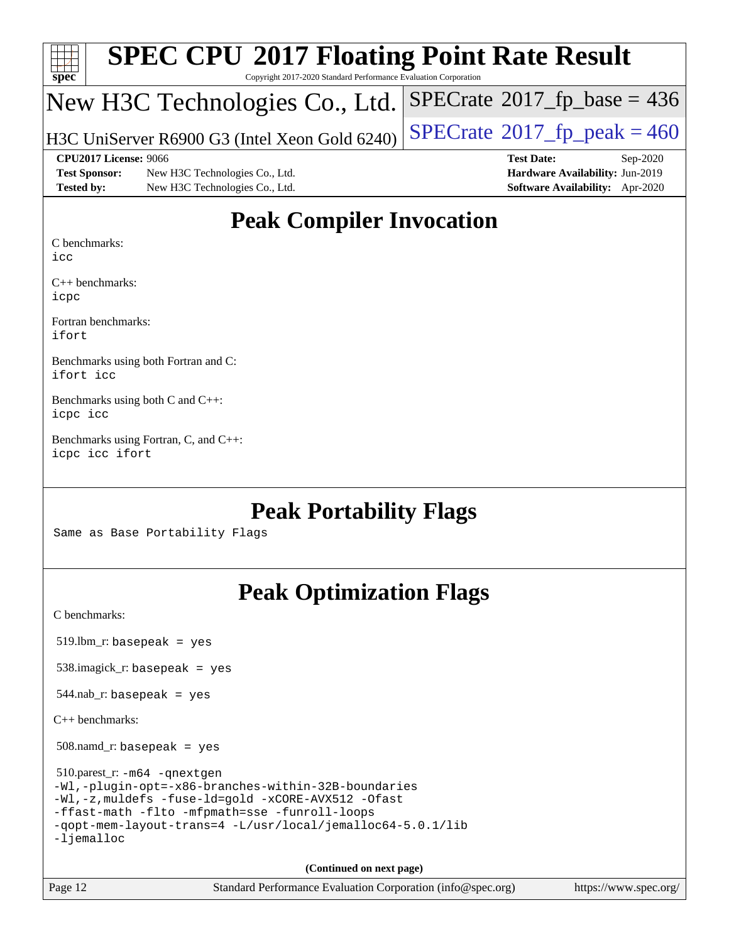| sp<br>e<br>Ľ |  |  |  |  |  |
|--------------|--|--|--|--|--|

Copyright 2017-2020 Standard Performance Evaluation Corporation

## New H3C Technologies Co., Ltd.

H3C UniServer R6900 G3 (Intel Xeon Gold 6240)  $\left|$  [SPECrate](http://www.spec.org/auto/cpu2017/Docs/result-fields.html#SPECrate2017fppeak)®[2017\\_fp\\_peak = 4](http://www.spec.org/auto/cpu2017/Docs/result-fields.html#SPECrate2017fppeak)60

 $SPECTate$ <sup>®</sup>[2017\\_fp\\_base =](http://www.spec.org/auto/cpu2017/Docs/result-fields.html#SPECrate2017fpbase) 436

**[Test Sponsor:](http://www.spec.org/auto/cpu2017/Docs/result-fields.html#TestSponsor)** New H3C Technologies Co., Ltd. **[Hardware Availability:](http://www.spec.org/auto/cpu2017/Docs/result-fields.html#HardwareAvailability)** Jun-2019 **[Tested by:](http://www.spec.org/auto/cpu2017/Docs/result-fields.html#Testedby)** New H3C Technologies Co., Ltd. **[Software Availability:](http://www.spec.org/auto/cpu2017/Docs/result-fields.html#SoftwareAvailability)** Apr-2020

**[CPU2017 License:](http://www.spec.org/auto/cpu2017/Docs/result-fields.html#CPU2017License)** 9066 **[Test Date:](http://www.spec.org/auto/cpu2017/Docs/result-fields.html#TestDate)** Sep-2020

### **[Peak Compiler Invocation](http://www.spec.org/auto/cpu2017/Docs/result-fields.html#PeakCompilerInvocation)**

[C benchmarks](http://www.spec.org/auto/cpu2017/Docs/result-fields.html#Cbenchmarks):

[icc](http://www.spec.org/cpu2017/results/res2020q4/cpu2017-20200927-24041.flags.html#user_CCpeak_intel_icc_66fc1ee009f7361af1fbd72ca7dcefbb700085f36577c54f309893dd4ec40d12360134090235512931783d35fd58c0460139e722d5067c5574d8eaf2b3e37e92)

[C++ benchmarks](http://www.spec.org/auto/cpu2017/Docs/result-fields.html#CXXbenchmarks): [icpc](http://www.spec.org/cpu2017/results/res2020q4/cpu2017-20200927-24041.flags.html#user_CXXpeak_intel_icpc_c510b6838c7f56d33e37e94d029a35b4a7bccf4766a728ee175e80a419847e808290a9b78be685c44ab727ea267ec2f070ec5dc83b407c0218cded6866a35d07)

[Fortran benchmarks:](http://www.spec.org/auto/cpu2017/Docs/result-fields.html#Fortranbenchmarks) [ifort](http://www.spec.org/cpu2017/results/res2020q4/cpu2017-20200927-24041.flags.html#user_FCpeak_intel_ifort_8111460550e3ca792625aed983ce982f94888b8b503583aa7ba2b8303487b4d8a21a13e7191a45c5fd58ff318f48f9492884d4413fa793fd88dd292cad7027ca)

[Benchmarks using both Fortran and C](http://www.spec.org/auto/cpu2017/Docs/result-fields.html#BenchmarksusingbothFortranandC): [ifort](http://www.spec.org/cpu2017/results/res2020q4/cpu2017-20200927-24041.flags.html#user_CC_FCpeak_intel_ifort_8111460550e3ca792625aed983ce982f94888b8b503583aa7ba2b8303487b4d8a21a13e7191a45c5fd58ff318f48f9492884d4413fa793fd88dd292cad7027ca) [icc](http://www.spec.org/cpu2017/results/res2020q4/cpu2017-20200927-24041.flags.html#user_CC_FCpeak_intel_icc_66fc1ee009f7361af1fbd72ca7dcefbb700085f36577c54f309893dd4ec40d12360134090235512931783d35fd58c0460139e722d5067c5574d8eaf2b3e37e92)

[Benchmarks using both C and C++:](http://www.spec.org/auto/cpu2017/Docs/result-fields.html#BenchmarksusingbothCandCXX) [icpc](http://www.spec.org/cpu2017/results/res2020q4/cpu2017-20200927-24041.flags.html#user_CC_CXXpeak_intel_icpc_c510b6838c7f56d33e37e94d029a35b4a7bccf4766a728ee175e80a419847e808290a9b78be685c44ab727ea267ec2f070ec5dc83b407c0218cded6866a35d07) [icc](http://www.spec.org/cpu2017/results/res2020q4/cpu2017-20200927-24041.flags.html#user_CC_CXXpeak_intel_icc_66fc1ee009f7361af1fbd72ca7dcefbb700085f36577c54f309893dd4ec40d12360134090235512931783d35fd58c0460139e722d5067c5574d8eaf2b3e37e92)

[Benchmarks using Fortran, C, and C++](http://www.spec.org/auto/cpu2017/Docs/result-fields.html#BenchmarksusingFortranCandCXX): [icpc](http://www.spec.org/cpu2017/results/res2020q4/cpu2017-20200927-24041.flags.html#user_CC_CXX_FCpeak_intel_icpc_c510b6838c7f56d33e37e94d029a35b4a7bccf4766a728ee175e80a419847e808290a9b78be685c44ab727ea267ec2f070ec5dc83b407c0218cded6866a35d07) [icc](http://www.spec.org/cpu2017/results/res2020q4/cpu2017-20200927-24041.flags.html#user_CC_CXX_FCpeak_intel_icc_66fc1ee009f7361af1fbd72ca7dcefbb700085f36577c54f309893dd4ec40d12360134090235512931783d35fd58c0460139e722d5067c5574d8eaf2b3e37e92) [ifort](http://www.spec.org/cpu2017/results/res2020q4/cpu2017-20200927-24041.flags.html#user_CC_CXX_FCpeak_intel_ifort_8111460550e3ca792625aed983ce982f94888b8b503583aa7ba2b8303487b4d8a21a13e7191a45c5fd58ff318f48f9492884d4413fa793fd88dd292cad7027ca)

#### **[Peak Portability Flags](http://www.spec.org/auto/cpu2017/Docs/result-fields.html#PeakPortabilityFlags)**

Same as Base Portability Flags

### **[Peak Optimization Flags](http://www.spec.org/auto/cpu2017/Docs/result-fields.html#PeakOptimizationFlags)**

[C benchmarks](http://www.spec.org/auto/cpu2017/Docs/result-fields.html#Cbenchmarks):

519.lbm\_r: basepeak = yes

538.imagick\_r: basepeak = yes

 $544$ .nab\_r: basepeak = yes

[C++ benchmarks:](http://www.spec.org/auto/cpu2017/Docs/result-fields.html#CXXbenchmarks)

508.namd\_r: basepeak = yes

 510.parest\_r: [-m64](http://www.spec.org/cpu2017/results/res2020q4/cpu2017-20200927-24041.flags.html#user_peakCXXLD510_parest_r_m64-icc) [-qnextgen](http://www.spec.org/cpu2017/results/res2020q4/cpu2017-20200927-24041.flags.html#user_peakCXXLD510_parest_r_f-qnextgen) [-Wl,-plugin-opt=-x86-branches-within-32B-boundaries](http://www.spec.org/cpu2017/results/res2020q4/cpu2017-20200927-24041.flags.html#user_peakLDFLAGS510_parest_r_f-x86-branches-within-32B-boundaries_0098b4e4317ae60947b7b728078a624952a08ac37a3c797dfb4ffeb399e0c61a9dd0f2f44ce917e9361fb9076ccb15e7824594512dd315205382d84209e912f3) [-Wl,-z,muldefs](http://www.spec.org/cpu2017/results/res2020q4/cpu2017-20200927-24041.flags.html#user_peakEXTRA_LDFLAGS510_parest_r_link_force_multiple1_b4cbdb97b34bdee9ceefcfe54f4c8ea74255f0b02a4b23e853cdb0e18eb4525ac79b5a88067c842dd0ee6996c24547a27a4b99331201badda8798ef8a743f577) [-fuse-ld=gold](http://www.spec.org/cpu2017/results/res2020q4/cpu2017-20200927-24041.flags.html#user_peakEXTRA_LDFLAGS510_parest_r_f-fuse-ld_920b3586e2b8c6e0748b9c84fa9b744736ba725a32cab14ad8f3d4ad28eecb2f59d1144823d2e17006539a88734fe1fc08fc3035f7676166309105a78aaabc32) [-xCORE-AVX512](http://www.spec.org/cpu2017/results/res2020q4/cpu2017-20200927-24041.flags.html#user_peakCXXOPTIMIZE510_parest_r_f-xCORE-AVX512) [-Ofast](http://www.spec.org/cpu2017/results/res2020q4/cpu2017-20200927-24041.flags.html#user_peakCXXOPTIMIZE510_parest_r_f-Ofast) [-ffast-math](http://www.spec.org/cpu2017/results/res2020q4/cpu2017-20200927-24041.flags.html#user_peakCXXOPTIMIZE510_parest_r_f-ffast-math) [-flto](http://www.spec.org/cpu2017/results/res2020q4/cpu2017-20200927-24041.flags.html#user_peakCXXOPTIMIZE510_parest_r_f-flto) [-mfpmath=sse](http://www.spec.org/cpu2017/results/res2020q4/cpu2017-20200927-24041.flags.html#user_peakCXXOPTIMIZE510_parest_r_f-mfpmath_70eb8fac26bde974f8ab713bc9086c5621c0b8d2f6c86f38af0bd7062540daf19db5f3a066d8c6684be05d84c9b6322eb3b5be6619d967835195b93d6c02afa1) [-funroll-loops](http://www.spec.org/cpu2017/results/res2020q4/cpu2017-20200927-24041.flags.html#user_peakCXXOPTIMIZE510_parest_r_f-funroll-loops) [-qopt-mem-layout-trans=4](http://www.spec.org/cpu2017/results/res2020q4/cpu2017-20200927-24041.flags.html#user_peakCXXOPTIMIZE510_parest_r_f-qopt-mem-layout-trans_fa39e755916c150a61361b7846f310bcdf6f04e385ef281cadf3647acec3f0ae266d1a1d22d972a7087a248fd4e6ca390a3634700869573d231a252c784941a8) [-L/usr/local/jemalloc64-5.0.1/lib](http://www.spec.org/cpu2017/results/res2020q4/cpu2017-20200927-24041.flags.html#user_peakEXTRA_LIBS510_parest_r_jemalloc_link_path64_1_cc289568b1a6c0fd3b62c91b824c27fcb5af5e8098e6ad028160d21144ef1b8aef3170d2acf0bee98a8da324cfe4f67d0a3d0c4cc4673d993d694dc2a0df248b) [-ljemalloc](http://www.spec.org/cpu2017/results/res2020q4/cpu2017-20200927-24041.flags.html#user_peakEXTRA_LIBS510_parest_r_jemalloc_link_lib_d1249b907c500fa1c0672f44f562e3d0f79738ae9e3c4a9c376d49f265a04b9c99b167ecedbf6711b3085be911c67ff61f150a17b3472be731631ba4d0471706)

**(Continued on next page)**

Page 12 Standard Performance Evaluation Corporation [\(info@spec.org\)](mailto:info@spec.org) <https://www.spec.org/>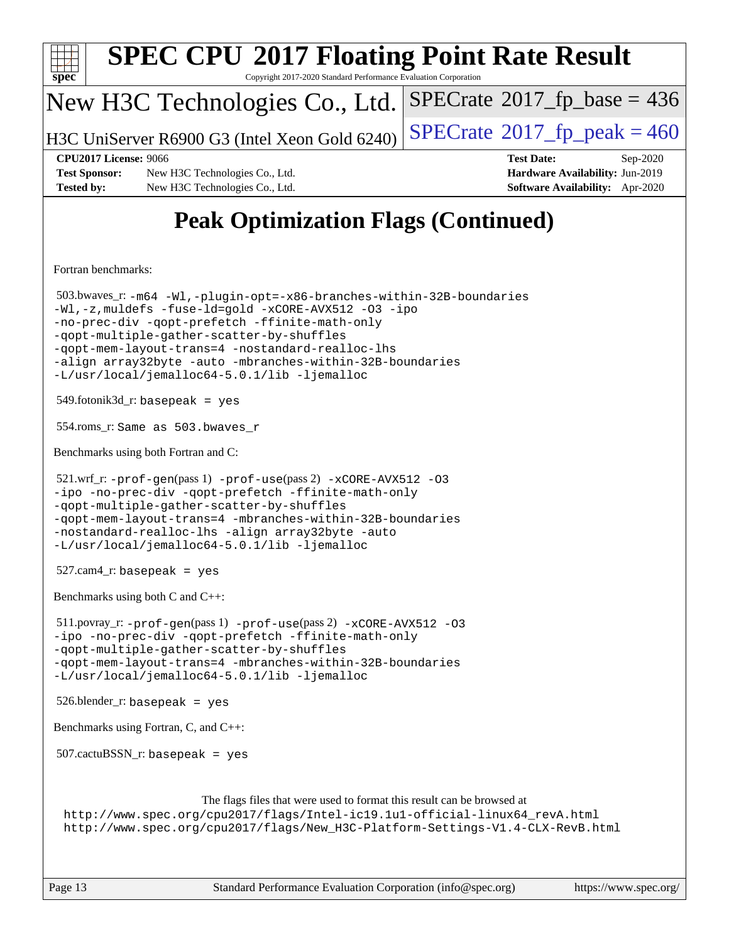| <b>SPEC CPU®2017 Floating Point Rate Result</b><br>Copyright 2017-2020 Standard Performance Evaluation Corporation                                                                                                                                                                                                                                                                            |                                                                                                     |  |  |  |  |  |  |
|-----------------------------------------------------------------------------------------------------------------------------------------------------------------------------------------------------------------------------------------------------------------------------------------------------------------------------------------------------------------------------------------------|-----------------------------------------------------------------------------------------------------|--|--|--|--|--|--|
| Spec<br>New H3C Technologies Co., Ltd.                                                                                                                                                                                                                                                                                                                                                        | $SPECrate^{\circ}2017$ _fp_base = 436                                                               |  |  |  |  |  |  |
| H3C UniServer R6900 G3 (Intel Xeon Gold 6240)                                                                                                                                                                                                                                                                                                                                                 | $SPECTate^{\circ}2017$ _fp_peak = 460                                                               |  |  |  |  |  |  |
| <b>CPU2017 License: 9066</b><br><b>Test Sponsor:</b><br>New H3C Technologies Co., Ltd.<br><b>Tested by:</b><br>New H3C Technologies Co., Ltd.                                                                                                                                                                                                                                                 | <b>Test Date:</b><br>Sep-2020<br>Hardware Availability: Jun-2019<br>Software Availability: Apr-2020 |  |  |  |  |  |  |
| <b>Peak Optimization Flags (Continued)</b>                                                                                                                                                                                                                                                                                                                                                    |                                                                                                     |  |  |  |  |  |  |
| Fortran benchmarks:                                                                                                                                                                                                                                                                                                                                                                           |                                                                                                     |  |  |  |  |  |  |
| 503.bwaves_r:-m64 -Wl,-plugin-opt=-x86-branches-within-32B-boundaries<br>-Wl,-z, muldefs -fuse-ld=gold -xCORE-AVX512 -03 -ipo<br>-no-prec-div -qopt-prefetch -ffinite-math-only<br>-qopt-multiple-gather-scatter-by-shuffles<br>-qopt-mem-layout-trans=4 -nostandard-realloc-lhs<br>-align array32byte -auto -mbranches-within-32B-boundaries<br>-L/usr/local/jemalloc64-5.0.1/lib -ljemalloc |                                                                                                     |  |  |  |  |  |  |
| $549$ .fotonik $3d$ <sub>r</sub> : basepeak = yes                                                                                                                                                                                                                                                                                                                                             |                                                                                                     |  |  |  |  |  |  |
| 554.roms_r: Same as 503.bwaves_r                                                                                                                                                                                                                                                                                                                                                              |                                                                                                     |  |  |  |  |  |  |
| Benchmarks using both Fortran and C:                                                                                                                                                                                                                                                                                                                                                          |                                                                                                     |  |  |  |  |  |  |
| 521.wrf_r: -prof-gen(pass 1) -prof-use(pass 2) -xCORE-AVX512 -03<br>-ipo -no-prec-div -qopt-prefetch -ffinite-math-only<br>-gopt-multiple-gather-scatter-by-shuffles<br>-qopt-mem-layout-trans=4 -mbranches-within-32B-boundaries<br>-nostandard-realloc-lhs -align array32byte -auto<br>-L/usr/local/jemalloc64-5.0.1/lib -ljemalloc                                                         |                                                                                                     |  |  |  |  |  |  |
| $527.cam4_r$ : basepeak = yes                                                                                                                                                                                                                                                                                                                                                                 |                                                                                                     |  |  |  |  |  |  |
| Benchmarks using both C and C++:                                                                                                                                                                                                                                                                                                                                                              |                                                                                                     |  |  |  |  |  |  |
| $511.$ povray_r: -prof-gen(pass 1) -prof-use(pass 2) -xCORE-AVX512 -03<br>-ipo -no-prec-div -qopt-prefetch -ffinite-math-only<br>-qopt-multiple-gather-scatter-by-shuffles<br>-qopt-mem-layout-trans=4 -mbranches-within-32B-boundaries<br>-L/usr/local/jemalloc64-5.0.1/lib -ljemalloc                                                                                                       |                                                                                                     |  |  |  |  |  |  |
| $526.$ blender_r: basepeak = yes                                                                                                                                                                                                                                                                                                                                                              |                                                                                                     |  |  |  |  |  |  |
| Benchmarks using Fortran, C, and C++:                                                                                                                                                                                                                                                                                                                                                         |                                                                                                     |  |  |  |  |  |  |
| $507.cactuBSSN_r$ : basepeak = yes                                                                                                                                                                                                                                                                                                                                                            |                                                                                                     |  |  |  |  |  |  |
| The flags files that were used to format this result can be browsed at<br>http://www.spec.org/cpu2017/flags/Intel-ic19.1u1-official-linux64_revA.html<br>http://www.spec.org/cpu2017/flags/New_H3C-Platform-Settings-V1.4-CLX-RevB.html                                                                                                                                                       |                                                                                                     |  |  |  |  |  |  |